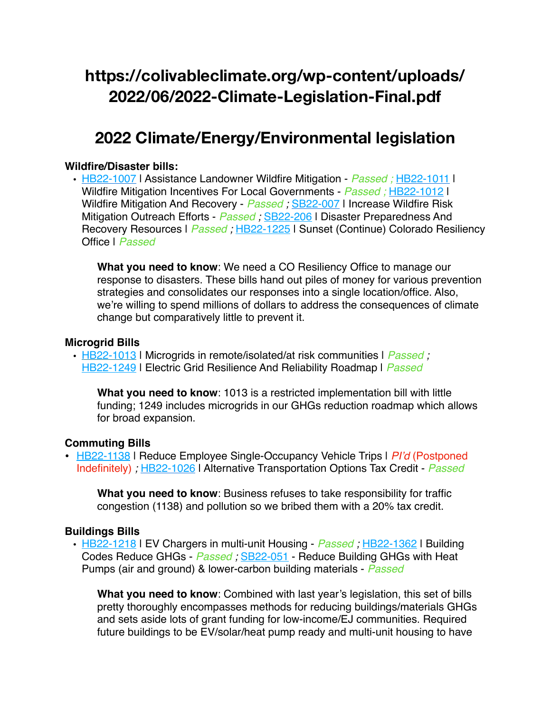# **https://colivableclimate.org/wp-content/uploads/ 2022/06/2022-Climate-Legislation-Final.pdf**

## **2022 Climate/Energy/Environmental legislation**

### **Wildfire/Disaster bills:**

• [HB22-1007](http://leg.colorado.gov/bills/HB22-1007) | Assistance Landowner Wildfire Mitigation - *Passed ;* [HB22-1011](http://leg.colorado.gov/bills/HB22-1011) | Wildfire Mitigation Incentives For Local Governments - *Passed ;* [HB22-1012](http://leg.colorado.gov/bills/HB22-1012) | Wildfire Mitigation And Recovery - *Passed ;* [SB22-007](http://leg.colorado.gov/bills/SB22-007) | Increase Wildfire Risk Mitigation Outreach Efforts - *Passed ;* [SB22-206](https://leg.colorado.gov/bills/sb22-206) | Disaster Preparedness And Recovery Resources | *Passed*; [HB22-1225](http://leg.colorado.gov/bills/HB22-1225) | Sunset (Continue) Colorado Resiliency Office | *Passed*

**What you need to know**: We need a CO Resiliency Office to manage our response to disasters. These bills hand out piles of money for various prevention strategies and consolidates our responses into a single location/office. Also, we're willing to spend millions of dollars to address the consequences of climate change but comparatively little to prevent it.

### **Microgrid Bills**

• [HB22-1013](http://leg.colorado.gov/bills/HB22-1013) | Microgrids in remote/isolated/at risk communities | *Passed ;*  [HB22-1249](http://leg.colorado.gov/bills/HB22-1249) | Electric Grid Resilience And Reliability Roadmap | *Passed*

**What you need to know**: 1013 is a restricted implementation bill with little funding; 1249 includes microgrids in our GHGs reduction roadmap which allows for broad expansion.

## **Commuting Bills**

• [HB22-1138](https://leg.colorado.gov/bills/hb22-1138) | Reduce Employee Single-Occupancy Vehicle Trips | *PI'd* (Postponed Indefinitely) *;* [HB22-1026](http://leg.colorado.gov/bills/HB22-1026) | Alternative Transportation Options Tax Credit - *Passed*

**What you need to know**: Business refuses to take responsibility for traffic congestion (1138) and pollution so we bribed them with a 20% tax credit.

## **Buildings Bills**

• [HB22-1218](https://leg.colorado.gov/bills/hb22-1218) | EV Chargers in multi-unit Housing - *Passed ;* [HB22-1362](https://leg.colorado.gov/bills/HB22-1362) | Building Codes Reduce GHGs - *Passed ;* [SB22-051](http://leg.colorado.gov/bills/SB22-051) - Reduce Building GHGs with Heat Pumps (air and ground) & lower-carbon building materials - *Passed*

**What you need to know**: Combined with last year's legislation, this set of bills pretty thoroughly encompasses methods for reducing buildings/materials GHGs and sets aside lots of grant funding for low-income/EJ communities. Required future buildings to be EV/solar/heat pump ready and multi-unit housing to have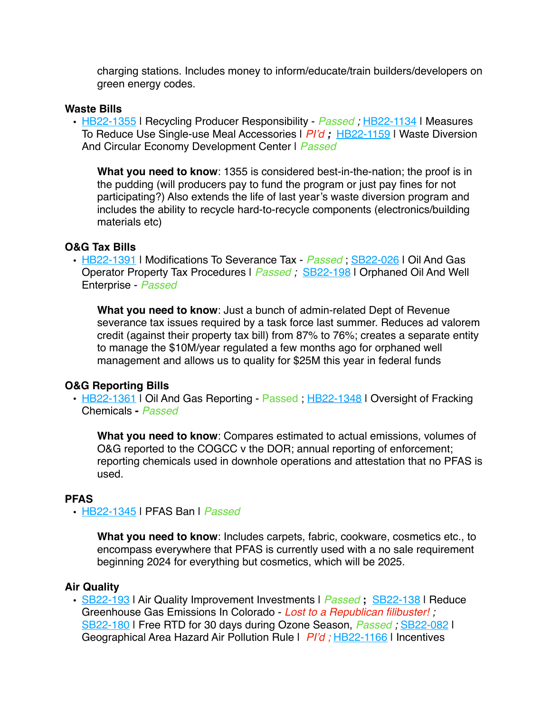charging stations. Includes money to inform/educate/train builders/developers on green energy codes.

#### **Waste Bills**

• [HB22-1355](https://leg.colorado.gov/bills/hb22-1355) | Recycling Producer Responsibility - *Passed*; [HB22-1134](http://leg.colorado.gov/sites/default/files/documents/2022A/bills/2022a_1134_01.pdf) | Measures To Reduce Use Single-use Meal Accessories | *PI'd ;* [HB22-1159](http://leg.colorado.gov/bills/hb22-1159) | Waste Diversion And Circular Economy Development Center | *Passed*

**What you need to know**: 1355 is considered best-in-the-nation; the proof is in the pudding (will producers pay to fund the program or just pay fines for not participating?) Also extends the life of last year's waste diversion program and includes the ability to recycle hard-to-recycle components (electronics/building materials etc)

#### **O&G Tax Bills**

• [HB22-1391](https://leg.colorado.gov/bills/HB22-1391) | Modifications To Severance Tax - *Passed* ; [SB22-026](http://leg.colorado.gov/bills/SB22-026) | Oil And Gas Operator Property Tax Procedures | *Passed ;* [SB22-198](https://leg.colorado.gov/bills/SB22-198) | Orphaned Oil And Well Enterprise - *Passed*

**What you need to know**: Just a bunch of admin-related Dept of Revenue severance tax issues required by a task force last summer. Reduces ad valorem credit (against their property tax bill) from 87% to 76%; creates a separate entity to manage the \$10M/year regulated a few months ago for orphaned well management and allows us to quality for \$25M this year in federal funds

#### **O&G Reporting Bills**

• [HB22-1361](https://leg.colorado.gov/bills/HB22-1361) | Oil And Gas Reporting - Passed ; [HB22-1348](https://leg.colorado.gov/bills/HB22-1348) | Oversight of Fracking Chemicals **-** *Passed*

**What you need to know**: Compares estimated to actual emissions, volumes of O&G reported to the COGCC v the DOR; annual reporting of enforcement; reporting chemicals used in downhole operations and attestation that no PFAS is used.

#### **PFAS**

#### • [HB22-1345](https://leg.colorado.gov/bills/hb22-1345) | PFAS Ban | *Passed*

**What you need to know**: Includes carpets, fabric, cookware, cosmetics etc., to encompass everywhere that PFAS is currently used with a no sale requirement beginning 2024 for everything but cosmetics, which will be 2025.

#### **Air Quality**

• [SB22-193](https://leg.colorado.gov/bills/SB22-193) | Air Quality Improvement Investments | *Passed* **;** [SB22-138](http://leg.colorado.gov/bills/SB22-138) | Reduce Greenhouse Gas Emissions In Colorado - *Lost to a Republican filibuster! ;*  [SB22-180](https://leg.colorado.gov/bills/sb22-180) | Free RTD for 30 days during Ozone Season, *Passed ;* [SB22-082](http://leg.colorado.gov/bills/SB22-082) | Geographical Area Hazard Air Pollution Rule | *PI'd ;* [HB22-1166](https://leg.colorado.gov/bills/hb22-1166) | Incentives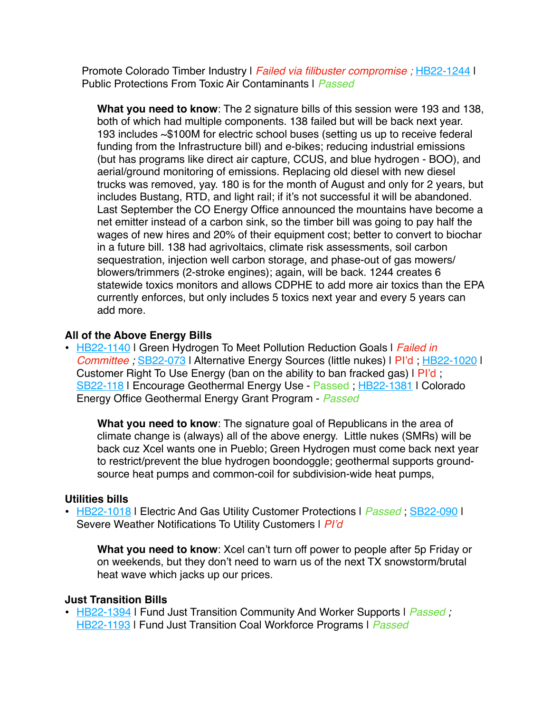Promote Colorado Timber Industry | *Failed via filibuster compromise ;* [HB22-1244](http://leg.colorado.gov/bills/HB22-1244) | Public Protections From Toxic Air Contaminants | *Passed*

**What you need to know**: The 2 signature bills of this session were 193 and 138, both of which had multiple components. 138 failed but will be back next year. 193 includes ~\$100M for electric school buses (setting us up to receive federal funding from the Infrastructure bill) and e-bikes; reducing industrial emissions (but has programs like direct air capture, CCUS, and blue hydrogen - BOO), and aerial/ground monitoring of emissions. Replacing old diesel with new diesel trucks was removed, yay. 180 is for the month of August and only for 2 years, but includes Bustang, RTD, and light rail; if it's not successful it will be abandoned. Last September the CO Energy Office announced the mountains have become a net emitter instead of a carbon sink, so the timber bill was going to pay half the wages of new hires and 20% of their equipment cost; better to convert to biochar in a future bill. 138 had agrivoltaics, climate risk assessments, soil carbon sequestration, injection well carbon storage, and phase-out of gas mowers/ blowers/trimmers (2-stroke engines); again, will be back. 1244 creates 6 statewide toxics monitors and allows CDPHE to add more air toxics than the EPA currently enforces, but only includes 5 toxics next year and every 5 years can add more.

## **All of the Above Energy Bills**

• [HB22-1140](http://leg.colorado.gov/sites/default/files/documents/2022A/bills/2022a_1140_01.pdf) | Green Hydrogen To Meet Pollution Reduction Goals | *Failed in Committee ; [SB22-073](http://leg.colorado.gov/bills/SB22-073)* | Alternative Energy Sources (little nukes) | PI'd ; [HB22-1020](http://leg.colorado.gov/bills/HB22-1020) | Customer Right To Use Energy (ban on the ability to ban fracked gas) I PI'd; [SB22-118](http://leg.colorado.gov/bills/SB22-118) | Encourage Geothermal Energy Use - Passed ; [HB22-1381](https://leg.colorado.gov/bills/HB22-1381) | Colorado Energy Office Geothermal Energy Grant Program - *Passed*

**What you need to know**: The signature goal of Republicans in the area of climate change is (always) all of the above energy. Little nukes (SMRs) will be back cuz Xcel wants one in Pueblo; Green Hydrogen must come back next year to restrict/prevent the blue hydrogen boondoggle; geothermal supports groundsource heat pumps and common-coil for subdivision-wide heat pumps,

## **Utilities bills**

• [HB22-1018](http://leg.colorado.gov/bills/HB22-1018) | Electric And Gas Utility Customer Protections | *Passed* ; [SB22-090](http://leg.colorado.gov/bills/SB22-090) | Severe Weather Notifications To Utility Customers | *PI'd*

**What you need to know**: Xcel can't turn off power to people after 5p Friday or on weekends, but they don't need to warn us of the next TX snowstorm/brutal heat wave which jacks up our prices.

## **Just Transition Bills**

• [HB22-1394](https://leg.colorado.gov/bills/HB22-1394) | Fund Just Transition Community And Worker Supports | *Passed ;* [HB22-1193](http://leg.colorado.gov/bills/HB22-1193) | Fund Just Transition Coal Workforce Programs | *Passed*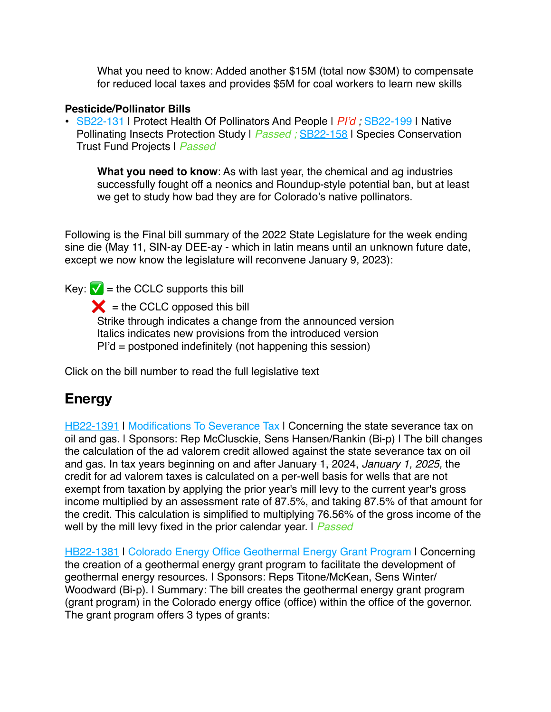What you need to know: Added another \$15M (total now \$30M) to compensate for reduced local taxes and provides \$5M for coal workers to learn new skills

## **Pesticide/Pollinator Bills**

• [SB22-131](http://leg.colorado.gov/bills/SB22-131) | Protect Health Of Pollinators And People | Pl'd; [SB22-199](https://leg.colorado.gov/bills/SB22-199) | Native Pollinating Insects Protection Study | *Passed ;* [SB22-158](https://leg.colorado.gov/bills/sb22-158) | Species Conservation Trust Fund Projects | *Passed*

**What you need to know**: As with last year, the chemical and ag industries successfully fought off a neonics and Roundup-style potential ban, but at least we get to study how bad they are for Colorado's native pollinators.

Following is the Final bill summary of the 2022 State Legislature for the week ending sine die (May 11, SIN-ay DEE-ay - which in latin means until an unknown future date, except we now know the legislature will reconvene January 9, 2023):

Key:  $\sqrt{\phantom{a}}$  = the CCLC supports this bill  $\angle$  = the CCLC opposed this bill Strike through indicates a change from the announced version Italics indicates new provisions from the introduced version PI'd = postponed indefinitely (not happening this session)

Click on the bill number to read the full legislative text

## **Energy**

[HB22-1391](https://leg.colorado.gov/bills/HB22-1391) | Modifications To Severance Tax | Concerning the state severance tax on oil and gas. | Sponsors: Rep McClusckie, Sens Hansen/Rankin (Bi-p) | The bill changes the calculation of the ad valorem credit allowed against the state severance tax on oil and gas. In tax years beginning on and after January 1, 2024, *January 1, 2025,* the credit for ad valorem taxes is calculated on a per-well basis for wells that are not exempt from taxation by applying the prior year's mill levy to the current year's gross income multiplied by an assessment rate of 87.5%, and taking 87.5% of that amount for the credit. This calculation is simplified to multiplying 76.56% of the gross income of the well by the mill levy fixed in the prior calendar year. | *Passed*

[HB22-1381](https://leg.colorado.gov/bills/HB22-1381) | Colorado Energy Office Geothermal Energy Grant Program | Concerning the creation of a geothermal energy grant program to facilitate the development of geothermal energy resources. | Sponsors: Reps Titone/McKean, Sens Winter/ Woodward (Bi-p). | Summary: The bill creates the geothermal energy grant program (grant program) in the Colorado energy office (office) within the office of the governor. The grant program offers 3 types of grants: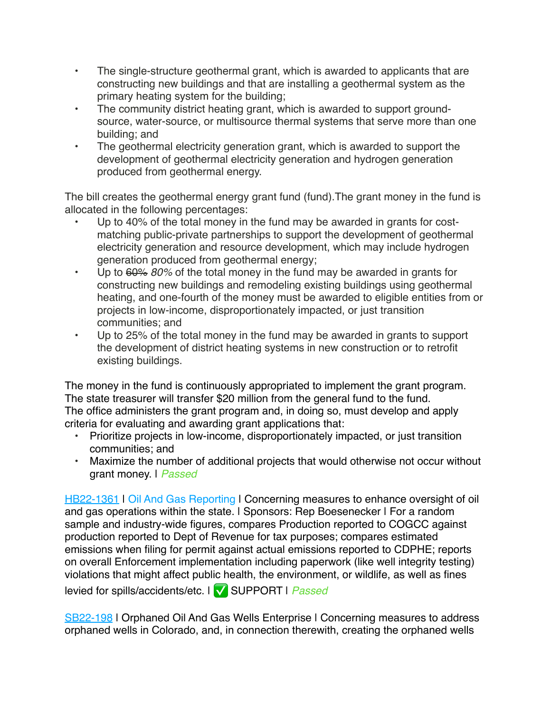- The single-structure geothermal grant, which is awarded to applicants that are constructing new buildings and that are installing a geothermal system as the primary heating system for the building;
- The community district heating grant, which is awarded to support groundsource, water-source, or multisource thermal systems that serve more than one building; and
- The geothermal electricity generation grant, which is awarded to support the development of geothermal electricity generation and hydrogen generation produced from geothermal energy.

The bill creates the geothermal energy grant fund (fund).The grant money in the fund is allocated in the following percentages:

- Up to 40% of the total money in the fund may be awarded in grants for costmatching public-private partnerships to support the development of geothermal electricity generation and resource development, which may include hydrogen generation produced from geothermal energy;
- Up to 60% *80%* of the total money in the fund may be awarded in grants for constructing new buildings and remodeling existing buildings using geothermal heating, and one-fourth of the money must be awarded to eligible entities from or projects in low-income, disproportionately impacted, or just transition communities; and
- Up to 25% of the total money in the fund may be awarded in grants to support the development of district heating systems in new construction or to retrofit existing buildings.

The money in the fund is continuously appropriated to implement the grant program. The state treasurer will transfer \$20 million from the general fund to the fund. The office administers the grant program and, in doing so, must develop and apply criteria for evaluating and awarding grant applications that:

- Prioritize projects in low-income, disproportionately impacted, or just transition communities; and
- Maximize the number of additional projects that would otherwise not occur without grant money. | *Passed*

[HB22-1361](https://leg.colorado.gov/bills/HB22-1361) | Oil And Gas Reporting | Concerning measures to enhance oversight of oil and gas operations within the state. I Sponsors: Rep Boesenecker I For a random sample and industry-wide figures, compares Production reported to COGCC against production reported to Dept of Revenue for tax purposes; compares estimated emissions when filing for permit against actual emissions reported to CDPHE; reports on overall Enforcement implementation including paperwork (like well integrity testing) violations that might affect public health, the environment, or wildlife, as well as fines

levied for spills/accidents/etc. | ✅ SUPPORT | *Passed*

[SB22-198](https://leg.colorado.gov/bills/SB22-198) | Orphaned Oil And Gas Wells Enterprise | Concerning measures to address orphaned wells in Colorado, and, in connection therewith, creating the orphaned wells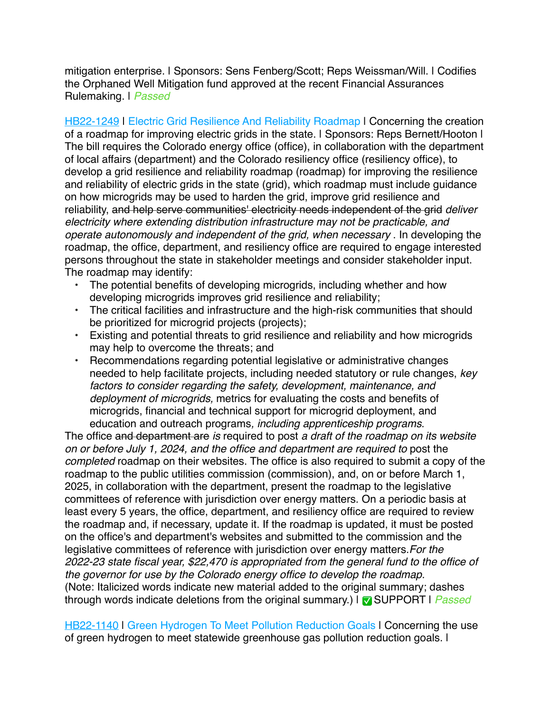mitigation enterprise. | Sponsors: Sens Fenberg/Scott; Reps Weissman/Will. | Codifies the Orphaned Well Mitigation fund approved at the recent Financial Assurances Rulemaking. | *Passed*

**[HB22-1249](http://leg.colorado.gov/bills/HB22-1249) | Electric Grid Resilience And Reliability Roadmap | Concerning the creation** of a roadmap for improving electric grids in the state. | Sponsors: Reps Bernett/Hooton | The bill requires the Colorado energy office (office), in collaboration with the department of local affairs (department) and the Colorado resiliency office (resiliency office), to develop a grid resilience and reliability roadmap (roadmap) for improving the resilience and reliability of electric grids in the state (grid), which roadmap must include guidance on how microgrids may be used to harden the grid, improve grid resilience and reliability, and help serve communities' electricity needs independent of the grid *deliver electricity where extending distribution infrastructure may not be practicable, and operate autonomously and independent of the grid, when necessary* . In developing the roadmap, the office, department, and resiliency office are required to engage interested persons throughout the state in stakeholder meetings and consider stakeholder input. The roadmap may identify:

- The potential benefits of developing microgrids, including whether and how developing microgrids improves grid resilience and reliability;
- The critical facilities and infrastructure and the high-risk communities that should be prioritized for microgrid projects (projects);
- Existing and potential threats to grid resilience and reliability and how microgrids may help to overcome the threats; and
- Recommendations regarding potential legislative or administrative changes needed to help facilitate projects, including needed statutory or rule changes, *key factors to consider regarding the safety, development, maintenance, and deployment of microgrids,* metrics for evaluating the costs and benefits of microgrids, financial and technical support for microgrid deployment, and education and outreach programs*, including apprenticeship programs*.

The office and department are *is* required to post *a draft of the roadmap on its website on or before July 1, 2024, and the office and department are required to* post the *completed* roadmap on their websites. The office is also required to submit a copy of the roadmap to the public utilities commission (commission), and, on or before March 1, 2025, in collaboration with the department, present the roadmap to the legislative committees of reference with jurisdiction over energy matters. On a periodic basis at least every 5 years, the office, department, and resiliency office are required to review the roadmap and, if necessary, update it. If the roadmap is updated, it must be posted on the office's and department's websites and submitted to the commission and the legislative committees of reference with jurisdiction over energy matters.*For the 2022-23 state fiscal year, \$22,470 is appropriated from the general fund to the office of the governor for use by the Colorado energy office to develop the roadmap.* (Note: Italicized words indicate new material added to the original summary; dashes through words indicate deletions from the original summary.) | ✅ SUPPORT | *Passed*

[HB22-1140](http://leg.colorado.gov/sites/default/files/documents/2022A/bills/2022a_1140_01.pdf) | Green Hydrogen To Meet Pollution Reduction Goals | Concerning the use of green hydrogen to meet statewide greenhouse gas pollution reduction goals. |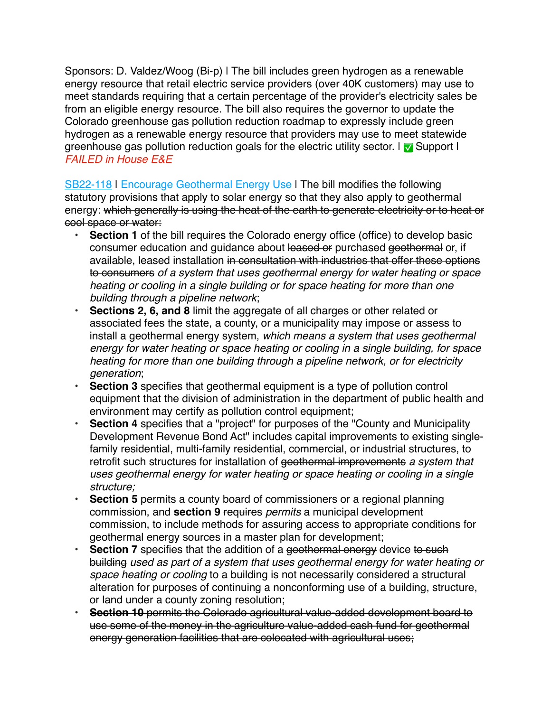Sponsors: D. Valdez/Woog (Bi-p) | The bill includes green hydrogen as a renewable energy resource that retail electric service providers (over 40K customers) may use to meet standards requiring that a certain percentage of the provider's electricity sales be from an eligible energy resource. The bill also requires the governor to update the Colorado greenhouse gas pollution reduction roadmap to expressly include green hydrogen as a renewable energy resource that providers may use to meet statewide greenhouse gas pollution reduction goals for the electric utility sector. I vanish Support I *FAILED in House E&E*

[SB22-118](http://leg.colorado.gov/bills/SB22-118) | Encourage Geothermal Energy Use | The bill modifies the following statutory provisions that apply to solar energy so that they also apply to geothermal energy: which generally is using the heat of the earth to generate electricity or to heat or cool space or water:

- **• Section 1** of the bill requires the Colorado energy office (office) to develop basic consumer education and guidance about leased or purchased geothermal or, if available, leased installation in consultation with industries that offer these options to consumers *of a system that uses geothermal energy for water heating or space heating or cooling in a single building or for space heating for more than one building through a pipeline network*;
- **• Sections 2, 6, and 8** limit the aggregate of all charges or other related or associated fees the state, a county, or a municipality may impose or assess to install a geothermal energy system, *which means a system that uses geothermal energy for water heating or space heating or cooling in a single building, for space heating for more than one building through a pipeline network, or for electricity generation*;
- **• Section 3** specifies that geothermal equipment is a type of pollution control equipment that the division of administration in the department of public health and environment may certify as pollution control equipment;
- **• Section 4** specifies that a "project" for purposes of the "County and Municipality Development Revenue Bond Act" includes capital improvements to existing singlefamily residential, multi-family residential, commercial, or industrial structures, to retrofit such structures for installation of geothermal improvements *a system that uses geothermal energy for water heating or space heating or cooling in a single structure;*
- **• Section 5** permits a county board of commissioners or a regional planning commission, and **section 9** requires *permits* a municipal development commission, to include methods for assuring access to appropriate conditions for geothermal energy sources in a master plan for development;
- **• Section 7** specifies that the addition of a geothermal energy device to such building *used as part of a system that uses geothermal energy for water heating or space heating or cooling* to a building is not necessarily considered a structural alteration for purposes of continuing a nonconforming use of a building, structure, or land under a county zoning resolution;
- **• Section 10** permits the Colorado agricultural value-added development board to use some of the money in the agriculture value-added cash fund for geothermal energy generation facilities that are colocated with agricultural uses;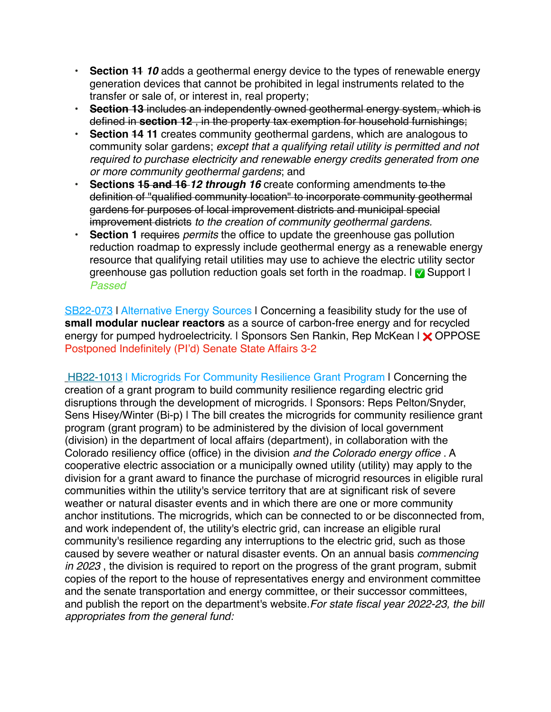- **• Section 11** *10* adds a geothermal energy device to the types of renewable energy generation devices that cannot be prohibited in legal instruments related to the transfer or sale of, or interest in, real property;
- **• Section 13** includes an independently owned geothermal energy system, which is defined in **section 12** , in the property tax exemption for household furnishings;
- **• Section 14 11** creates community geothermal gardens, which are analogous to community solar gardens; *except that a qualifying retail utility is permitted and not required to purchase electricity and renewable energy credits generated from one or more community geothermal gardens*; and
- **• Sections 15 and 16** *12 through 16* create conforming amendments to the definition of "qualified community location" to incorporate community geothermal gardens for purposes of local improvement districts and municipal special improvement districts *to the creation of community geothermal gardens.*
- **• Section 1** requires *permits* the office to update the greenhouse gas pollution reduction roadmap to expressly include geothermal energy as a renewable energy resource that qualifying retail utilities may use to achieve the electric utility sector greenhouse gas pollution reduction goals set forth in the roadmap. In Support I *Passed*

[SB22-073](http://leg.colorado.gov/bills/SB22-073) | Alternative Energy Sources | Concerning a feasibility study for the use of **small modular nuclear reactors** as a source of carbon-free energy and for recycled energy for pumped hydroelectricity. I Sponsors Sen Rankin, Rep McKean I X OPPOSE Postponed Indefinitely (PI'd) Senate State Affairs 3-2

[HB22-1013](http://leg.colorado.gov/bills/HB22-1013) | Microgrids For Community Resilience Grant Program | Concerning the creation of a grant program to build community resilience regarding electric grid disruptions through the development of microgrids. | Sponsors: Reps Pelton/Snyder, Sens Hisey/Winter (Bi-p) I The bill creates the microgrids for community resilience grant program (grant program) to be administered by the division of local government (division) in the department of local affairs (department), in collaboration with the Colorado resiliency office (office) in the division *and the Colorado energy office* . A cooperative electric association or a municipally owned utility (utility) may apply to the division for a grant award to finance the purchase of microgrid resources in eligible rural communities within the utility's service territory that are at significant risk of severe weather or natural disaster events and in which there are one or more community anchor institutions. The microgrids, which can be connected to or be disconnected from, and work independent of, the utility's electric grid, can increase an eligible rural community's resilience regarding any interruptions to the electric grid, such as those caused by severe weather or natural disaster events. On an annual basis *commencing in 2023* , the division is required to report on the progress of the grant program, submit copies of the report to the house of representatives energy and environment committee and the senate transportation and energy committee, or their successor committees, and publish the report on the department's website.*For state fiscal year 2022-23, the bill appropriates from the general fund:*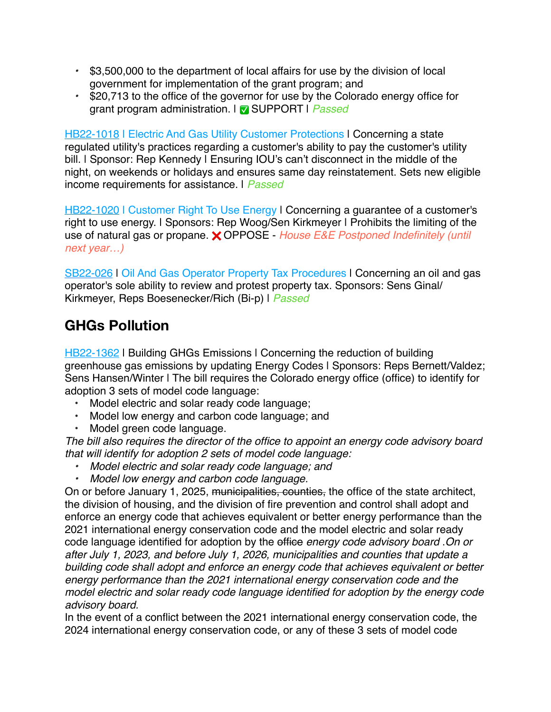- *•* \$3,500,000 to the department of local affairs for use by the division of local government for implementation of the grant program; and
- *•* \$20,713 to the office of the governor for use by the Colorado energy office for grant program administration. | ✅ SUPPORT | *Passed*

[HB22-1018](http://leg.colorado.gov/bills/HB22-1018) | Electric And Gas Utility Customer Protections | Concerning a state regulated utility's practices regarding a customer's ability to pay the customer's utility bill. I Sponsor: Rep Kennedy I Ensuring IOU's can't disconnect in the middle of the night, on weekends or holidays and ensures same day reinstatement. Sets new eligible income requirements for assistance. | *Passed*

[HB22-1020](http://leg.colorado.gov/bills/HB22-1020) | Customer Right To Use Energy | Concerning a guarantee of a customer's right to use energy. | Sponsors: Rep Woog/Sen Kirkmeyer | Prohibits the limiting of the use of natural gas or propane. ❌ OPPOSE - *House E&E Postponed Indefinitely (until next year…)*

[SB22-026](http://leg.colorado.gov/bills/SB22-026) | Oil And Gas Operator Property Tax Procedures | Concerning an oil and gas operator's sole ability to review and protest property tax. Sponsors: Sens Ginal/ Kirkmeyer, Reps Boesenecker/Rich (Bi-p) | *Passed*

## **GHGs Pollution**

[HB22-1362](https://leg.colorado.gov/bills/HB22-1362) | Building GHGs Emissions | Concerning the reduction of building greenhouse gas emissions by updating Energy Codes | Sponsors: Reps Bernett/Valdez; Sens Hansen/Winter | The bill requires the Colorado energy office (office) to identify for adoption 3 sets of model code language:

- Model electric and solar ready code language;
- Model low energy and carbon code language; and
- Model green code language.

*The bill also requires the director of the office to appoint an energy code advisory board that will identify for adoption 2 sets of model code language:*

- *• Model electric and solar ready code language; and*
- *• Model low energy and carbon code language.*

On or before January 1, 2025, municipalities, counties, the office of the state architect, the division of housing, and the division of fire prevention and control shall adopt and enforce an energy code that achieves equivalent or better energy performance than the 2021 international energy conservation code and the model electric and solar ready code language identified for adoption by the office *energy code advisory board* .*On or after July 1, 2023, and before July 1, 2026, municipalities and counties that update a building code shall adopt and enforce an energy code that achieves equivalent or better energy performance than the 2021 international energy conservation code and the model electric and solar ready code language identified for adoption by the energy code advisory board.*

In the event of a conflict between the 2021 international energy conservation code, the 2024 international energy conservation code, or any of these 3 sets of model code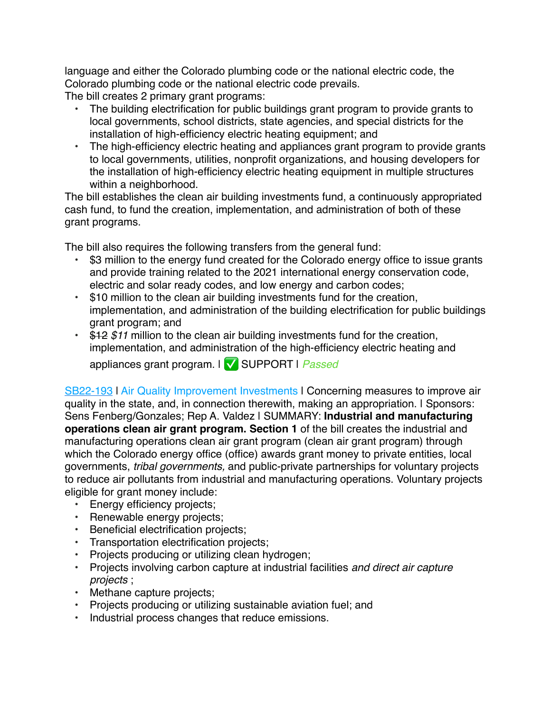language and either the Colorado plumbing code or the national electric code, the Colorado plumbing code or the national electric code prevails.

The bill creates 2 primary grant programs:

- The building electrification for public buildings grant program to provide grants to local governments, school districts, state agencies, and special districts for the installation of high-efficiency electric heating equipment; and
- The high-efficiency electric heating and appliances grant program to provide grants to local governments, utilities, nonprofit organizations, and housing developers for the installation of high-efficiency electric heating equipment in multiple structures within a neighborhood.

The bill establishes the clean air building investments fund, a continuously appropriated cash fund, to fund the creation, implementation, and administration of both of these grant programs.

The bill also requires the following transfers from the general fund:

- \$3 million to the energy fund created for the Colorado energy office to issue grants and provide training related to the 2021 international energy conservation code, electric and solar ready codes, and low energy and carbon codes;
- \$10 million to the clean air building investments fund for the creation, implementation, and administration of the building electrification for public buildings grant program; and
- \$12 *\$11* million to the clean air building investments fund for the creation, implementation, and administration of the high-efficiency electric heating and appliances grant program. | ✅ SUPPORT | *Passed*

[SB22-193](https://leg.colorado.gov/bills/SB22-193) | Air Quality Improvement Investments | Concerning measures to improve air quality in the state, and, in connection therewith, making an appropriation. | Sponsors: Sens Fenberg/Gonzales; Rep A. Valdez | SUMMARY: **Industrial and manufacturing operations clean air grant program. Section 1** of the bill creates the industrial and manufacturing operations clean air grant program (clean air grant program) through which the Colorado energy office (office) awards grant money to private entities, local governments, *tribal governments,* and public-private partnerships for voluntary projects to reduce air pollutants from industrial and manufacturing operations. Voluntary projects eligible for grant money include:

- Energy efficiency projects;
- Renewable energy projects;
- Beneficial electrification projects;
- Transportation electrification projects;
- Projects producing or utilizing clean hydrogen;
- Projects involving carbon capture at industrial facilities *and direct air capture projects* ;
- Methane capture projects;
- Projects producing or utilizing sustainable aviation fuel; and
- Industrial process changes that reduce emissions.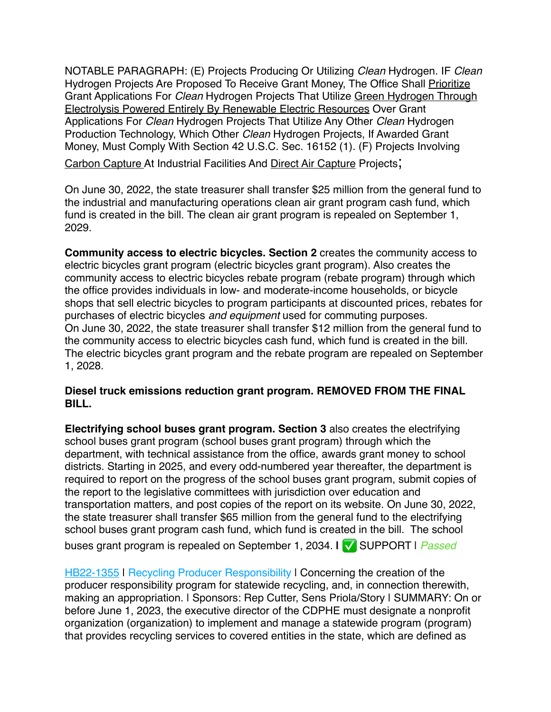NOTABLE PARAGRAPH: (E) Projects Producing Or Utilizing *Clean* Hydrogen. IF *Clean* Hydrogen Projects Are Proposed To Receive Grant Money, The Office Shall Prioritize Grant Applications For *Clean* Hydrogen Projects That Utilize Green Hydrogen Through Electrolysis Powered Entirely By Renewable Electric Resources Over Grant Applications For *Clean* Hydrogen Projects That Utilize Any Other *Clean* Hydrogen Production Technology, Which Other *Clean* Hydrogen Projects, If Awarded Grant Money, Must Comply With Section 42 U.S.C. Sec. 16152 (1). (F) Projects Involving

Carbon Capture At Industrial Facilities And Direct Air Capture Projects;

On June 30, 2022, the state treasurer shall transfer \$25 million from the general fund to the industrial and manufacturing operations clean air grant program cash fund, which fund is created in the bill. The clean air grant program is repealed on September 1, 2029.

**Community access to electric bicycles. Section 2** creates the community access to electric bicycles grant program (electric bicycles grant program). Also creates the community access to electric bicycles rebate program (rebate program) through which the office provides individuals in low- and moderate-income households, or bicycle shops that sell electric bicycles to program participants at discounted prices, rebates for purchases of electric bicycles *and equipment* used for commuting purposes. On June 30, 2022, the state treasurer shall transfer \$12 million from the general fund to the community access to electric bicycles cash fund, which fund is created in the bill. The electric bicycles grant program and the rebate program are repealed on September 1, 2028.

## **Diesel truck emissions reduction grant program. REMOVED FROM THE FINAL BILL.**

**Electrifying school buses grant program. Section 3** also creates the electrifying school buses grant program (school buses grant program) through which the department, with technical assistance from the office, awards grant money to school districts. Starting in 2025, and every odd-numbered year thereafter, the department is required to report on the progress of the school buses grant program, submit copies of the report to the legislative committees with jurisdiction over education and transportation matters, and post copies of the report on its website. On June 30, 2022, the state treasurer shall transfer \$65 million from the general fund to the electrifying school buses grant program cash fund, which fund is created in the bill. The school buses grant program is repealed on September 1, 2034. **|** ✅ SUPPORT | *Passed*

[HB22-1355](https://leg.colorado.gov/bills/hb22-1355) | Recycling Producer Responsibility | Concerning the creation of the producer responsibility program for statewide recycling, and, in connection therewith, making an appropriation. | Sponsors: Rep Cutter, Sens Priola/Story | SUMMARY: On or before June 1, 2023, the executive director of the CDPHE must designate a nonprofit organization (organization) to implement and manage a statewide program (program) that provides recycling services to covered entities in the state, which are defined as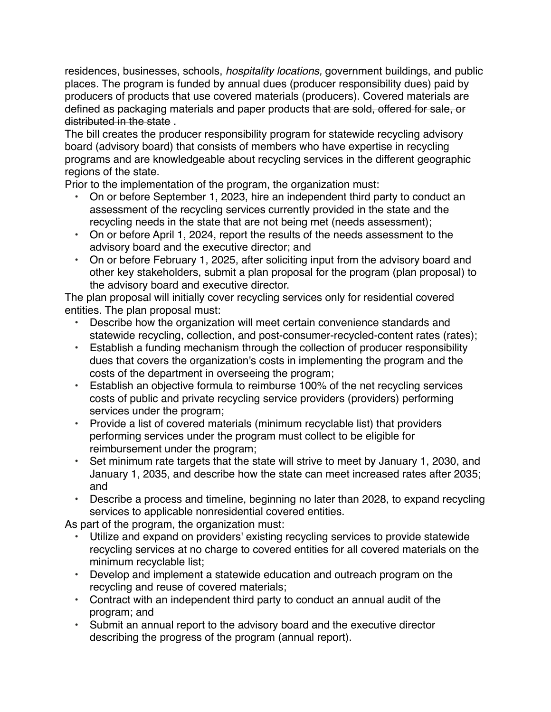residences, businesses, schools, *hospitality locations,* government buildings, and public places. The program is funded by annual dues (producer responsibility dues) paid by producers of products that use covered materials (producers). Covered materials are defined as packaging materials and paper products that are sold, offered for sale, or distributed in the state .

The bill creates the producer responsibility program for statewide recycling advisory board (advisory board) that consists of members who have expertise in recycling programs and are knowledgeable about recycling services in the different geographic regions of the state.

Prior to the implementation of the program, the organization must:

- On or before September 1, 2023, hire an independent third party to conduct an assessment of the recycling services currently provided in the state and the recycling needs in the state that are not being met (needs assessment);
- On or before April 1, 2024, report the results of the needs assessment to the advisory board and the executive director; and
- On or before February 1, 2025, after soliciting input from the advisory board and other key stakeholders, submit a plan proposal for the program (plan proposal) to the advisory board and executive director.

The plan proposal will initially cover recycling services only for residential covered entities. The plan proposal must:

- Describe how the organization will meet certain convenience standards and statewide recycling, collection, and post-consumer-recycled-content rates (rates);
- Establish a funding mechanism through the collection of producer responsibility dues that covers the organization's costs in implementing the program and the costs of the department in overseeing the program;
- Establish an objective formula to reimburse 100% of the net recycling services costs of public and private recycling service providers (providers) performing services under the program;
- Provide a list of covered materials (minimum recyclable list) that providers performing services under the program must collect to be eligible for reimbursement under the program;
- Set minimum rate targets that the state will strive to meet by January 1, 2030, and January 1, 2035, and describe how the state can meet increased rates after 2035; and
- Describe a process and timeline, beginning no later than 2028, to expand recycling services to applicable nonresidential covered entities.

As part of the program, the organization must:

- Utilize and expand on providers' existing recycling services to provide statewide recycling services at no charge to covered entities for all covered materials on the minimum recyclable list;
- Develop and implement a statewide education and outreach program on the recycling and reuse of covered materials;
- Contract with an independent third party to conduct an annual audit of the program; and
- Submit an annual report to the advisory board and the executive director describing the progress of the program (annual report).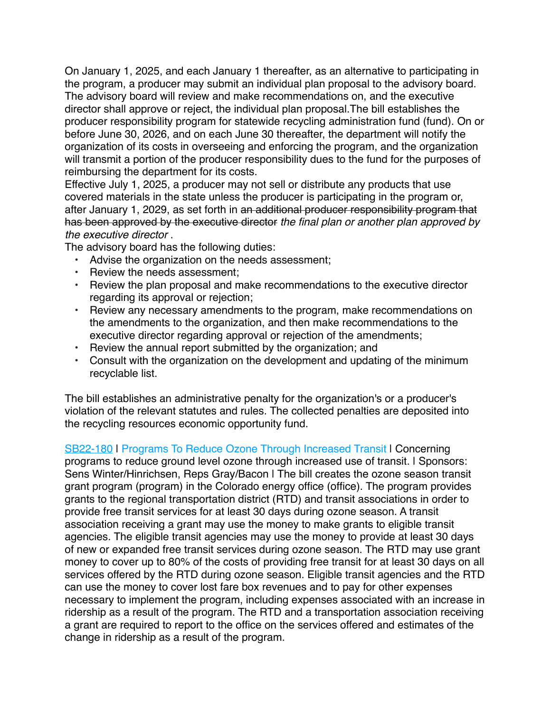On January 1, 2025, and each January 1 thereafter, as an alternative to participating in the program, a producer may submit an individual plan proposal to the advisory board. The advisory board will review and make recommendations on, and the executive director shall approve or reject, the individual plan proposal.The bill establishes the producer responsibility program for statewide recycling administration fund (fund). On or before June 30, 2026, and on each June 30 thereafter, the department will notify the organization of its costs in overseeing and enforcing the program, and the organization will transmit a portion of the producer responsibility dues to the fund for the purposes of reimbursing the department for its costs.

Effective July 1, 2025, a producer may not sell or distribute any products that use covered materials in the state unless the producer is participating in the program or, after January 1, 2029, as set forth in an additional producer responsibility program that has been approved by the executive director *the final plan or another plan approved by the executive director* .

The advisory board has the following duties:

- Advise the organization on the needs assessment;
- Review the needs assessment;
- Review the plan proposal and make recommendations to the executive director regarding its approval or rejection;
- Review any necessary amendments to the program, make recommendations on the amendments to the organization, and then make recommendations to the executive director regarding approval or rejection of the amendments;
- Review the annual report submitted by the organization; and
- Consult with the organization on the development and updating of the minimum recyclable list.

The bill establishes an administrative penalty for the organization's or a producer's violation of the relevant statutes and rules. The collected penalties are deposited into the recycling resources economic opportunity fund.

[SB22-180](https://leg.colorado.gov/bills/sb22-180) | Programs To Reduce Ozone Through Increased Transit | Concerning programs to reduce ground level ozone through increased use of transit. | Sponsors: Sens Winter/Hinrichsen, Reps Gray/Bacon I The bill creates the ozone season transit grant program (program) in the Colorado energy office (office). The program provides grants to the regional transportation district (RTD) and transit associations in order to provide free transit services for at least 30 days during ozone season. A transit association receiving a grant may use the money to make grants to eligible transit agencies. The eligible transit agencies may use the money to provide at least 30 days of new or expanded free transit services during ozone season. The RTD may use grant money to cover up to 80% of the costs of providing free transit for at least 30 days on all services offered by the RTD during ozone season. Eligible transit agencies and the RTD can use the money to cover lost fare box revenues and to pay for other expenses necessary to implement the program, including expenses associated with an increase in ridership as a result of the program. The RTD and a transportation association receiving a grant are required to report to the office on the services offered and estimates of the change in ridership as a result of the program.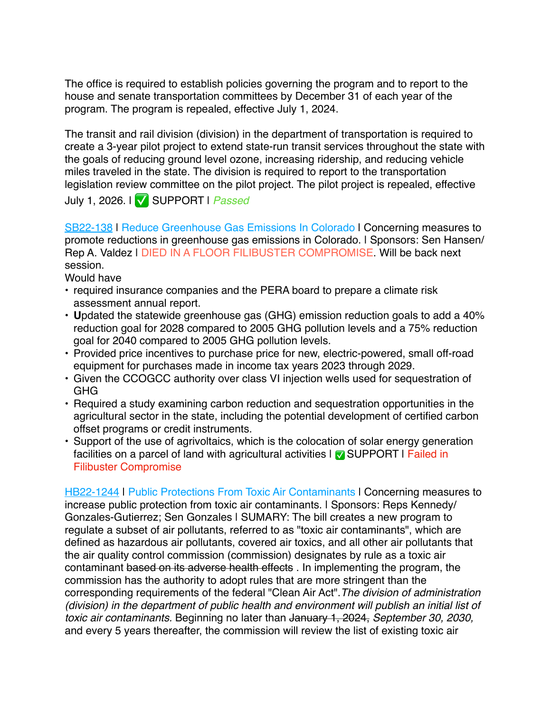The office is required to establish policies governing the program and to report to the house and senate transportation committees by December 31 of each year of the program. The program is repealed, effective July 1, 2024.

The transit and rail division (division) in the department of transportation is required to create a 3-year pilot project to extend state-run transit services throughout the state with the goals of reducing ground level ozone, increasing ridership, and reducing vehicle miles traveled in the state. The division is required to report to the transportation legislation review committee on the pilot project. The pilot project is repealed, effective

July 1, 2026. | ✅ SUPPORT | *Passed*

[SB22-138](http://leg.colorado.gov/bills/SB22-138) | Reduce Greenhouse Gas Emissions In Colorado | Concerning measures to promote reductions in greenhouse gas emissions in Colorado. | Sponsors: Sen Hansen/ Rep A. Valdez | DIED IN A FLOOR FILIBUSTER COMPROMISE. Will be back next session.

Would have

- required insurance companies and the PERA board to prepare a climate risk assessment annual report.
- **U**pdated the statewide greenhouse gas (GHG) emission reduction goals to add a 40% reduction goal for 2028 compared to 2005 GHG pollution levels and a 75% reduction goal for 2040 compared to 2005 GHG pollution levels.
- Provided price incentives to purchase price for new, electric-powered, small off-road equipment for purchases made in income tax years 2023 through 2029.
- Given the CCOGCC authority over class VI injection wells used for sequestration of GHG
- Required a study examining carbon reduction and sequestration opportunities in the agricultural sector in the state, including the potential development of certified carbon offset programs or credit instruments.
- Support of the use of agrivoltaics, which is the colocation of solar energy generation facilities on a parcel of land with agricultural activities  $\sqrt{ }$  SUPPORT I Failed in Filibuster Compromise

[HB22-1244](http://leg.colorado.gov/bills/HB22-1244) | Public Protections From Toxic Air Contaminants | Concerning measures to increase public protection from toxic air contaminants. I Sponsors: Reps Kennedy/ Gonzales-Gutierrez; Sen Gonzales | SUMARY: The bill creates a new program to regulate a subset of air pollutants, referred to as "toxic air contaminants", which are defined as hazardous air pollutants, covered air toxics, and all other air pollutants that the air quality control commission (commission) designates by rule as a toxic air contaminant based on its adverse health effects . In implementing the program, the commission has the authority to adopt rules that are more stringent than the corresponding requirements of the federal "Clean Air Act".*The division of administration (division) in the department of public health and environment will publish an initial list of toxic air contaminants.* Beginning no later than January 1, 2024, *September 30, 2030,*  and every 5 years thereafter, the commission will review the list of existing toxic air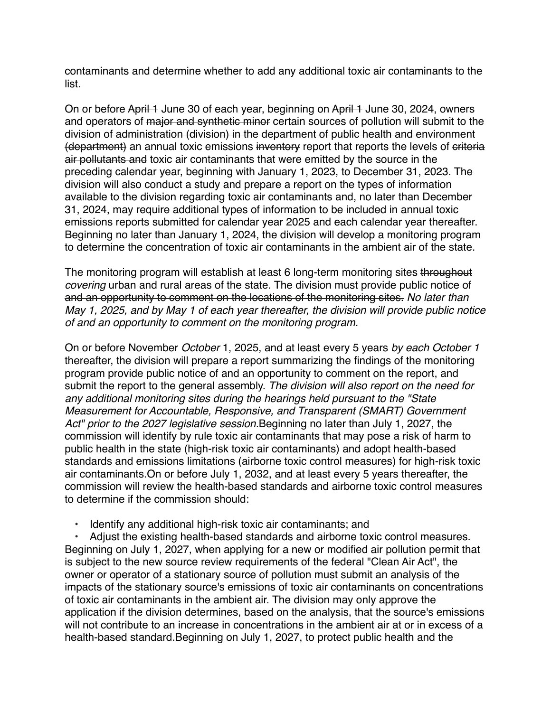contaminants and determine whether to add any additional toxic air contaminants to the list.

On or before April 1 June 30 of each year, beginning on April 1 June 30, 2024, owners and operators of major and synthetic minor certain sources of pollution will submit to the division of administration (division) in the department of public health and environment (department) an annual toxic emissions inventory report that reports the levels of criteria air pollutants and toxic air contaminants that were emitted by the source in the preceding calendar year, beginning with January 1, 2023, to December 31, 2023. The division will also conduct a study and prepare a report on the types of information available to the division regarding toxic air contaminants and, no later than December 31, 2024, may require additional types of information to be included in annual toxic emissions reports submitted for calendar year 2025 and each calendar year thereafter. Beginning no later than January 1, 2024, the division will develop a monitoring program to determine the concentration of toxic air contaminants in the ambient air of the state.

The monitoring program will establish at least 6 long-term monitoring sites throughout *covering* urban and rural areas of the state. The division must provide public notice of and an opportunity to comment on the locations of the monitoring sites. *No later than May 1, 2025, and by May 1 of each year thereafter, the division will provide public notice of and an opportunity to comment on the monitoring program.*

On or before November *October* 1, 2025, and at least every 5 years *by each October 1*  thereafter, the division will prepare a report summarizing the findings of the monitoring program provide public notice of and an opportunity to comment on the report, and submit the report to the general assembly. *The division will also report on the need for any additional monitoring sites during the hearings held pursuant to the "State Measurement for Accountable, Responsive, and Transparent (SMART) Government Act" prior to the 2027 legislative session.*Beginning no later than July 1, 2027, the commission will identify by rule toxic air contaminants that may pose a risk of harm to public health in the state (high-risk toxic air contaminants) and adopt health-based standards and emissions limitations (airborne toxic control measures) for high-risk toxic air contaminants.On or before July 1, 2032, and at least every 5 years thereafter, the commission will review the health-based standards and airborne toxic control measures to determine if the commission should:

• Identify any additional high-risk toxic air contaminants; and

• Adjust the existing health-based standards and airborne toxic control measures. Beginning on July 1, 2027, when applying for a new or modified air pollution permit that is subject to the new source review requirements of the federal "Clean Air Act", the owner or operator of a stationary source of pollution must submit an analysis of the impacts of the stationary source's emissions of toxic air contaminants on concentrations of toxic air contaminants in the ambient air. The division may only approve the application if the division determines, based on the analysis, that the source's emissions will not contribute to an increase in concentrations in the ambient air at or in excess of a health-based standard.Beginning on July 1, 2027, to protect public health and the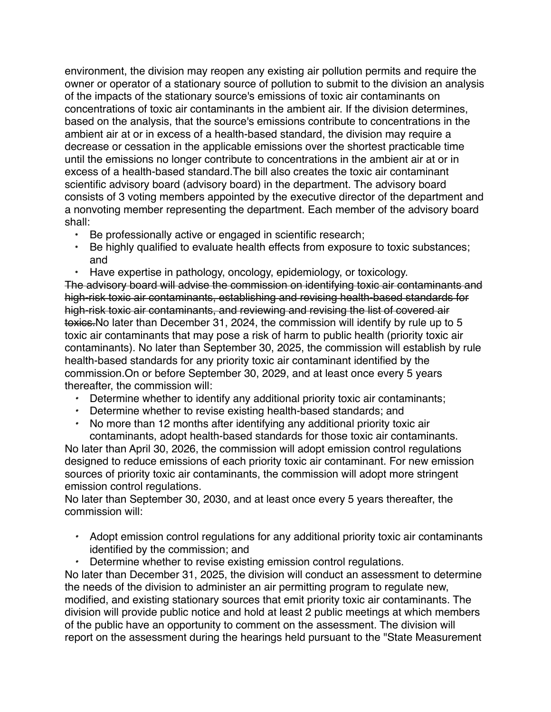environment, the division may reopen any existing air pollution permits and require the owner or operator of a stationary source of pollution to submit to the division an analysis of the impacts of the stationary source's emissions of toxic air contaminants on concentrations of toxic air contaminants in the ambient air. If the division determines, based on the analysis, that the source's emissions contribute to concentrations in the ambient air at or in excess of a health-based standard, the division may require a decrease or cessation in the applicable emissions over the shortest practicable time until the emissions no longer contribute to concentrations in the ambient air at or in excess of a health-based standard.The bill also creates the toxic air contaminant scientific advisory board (advisory board) in the department. The advisory board consists of 3 voting members appointed by the executive director of the department and a nonvoting member representing the department. Each member of the advisory board shall:

- Be professionally active or engaged in scientific research;
- Be highly qualified to evaluate health effects from exposure to toxic substances; and
- Have expertise in pathology, oncology, epidemiology, or toxicology.

The advisory board will advise the commission on identifying toxic air contaminants and high-risk toxic air contaminants, establishing and revising health-based standards for high-risk toxic air contaminants, and reviewing and revising the list of covered air toxics.No later than December 31, 2024, the commission will identify by rule up to 5 toxic air contaminants that may pose a risk of harm to public health (priority toxic air contaminants). No later than September 30, 2025, the commission will establish by rule health-based standards for any priority toxic air contaminant identified by the commission.On or before September 30, 2029, and at least once every 5 years thereafter, the commission will:

- *•* Determine whether to identify any additional priority toxic air contaminants;
- *•* Determine whether to revise existing health-based standards; and
- *•* No more than 12 months after identifying any additional priority toxic air contaminants, adopt health-based standards for those toxic air contaminants.

No later than April 30, 2026, the commission will adopt emission control regulations designed to reduce emissions of each priority toxic air contaminant. For new emission sources of priority toxic air contaminants, the commission will adopt more stringent emission control regulations.

No later than September 30, 2030, and at least once every 5 years thereafter, the commission will:

- *•* Adopt emission control regulations for any additional priority toxic air contaminants identified by the commission; and
- *•* Determine whether to revise existing emission control regulations.

No later than December 31, 2025, the division will conduct an assessment to determine the needs of the division to administer an air permitting program to regulate new, modified, and existing stationary sources that emit priority toxic air contaminants. The division will provide public notice and hold at least 2 public meetings at which members of the public have an opportunity to comment on the assessment. The division will report on the assessment during the hearings held pursuant to the "State Measurement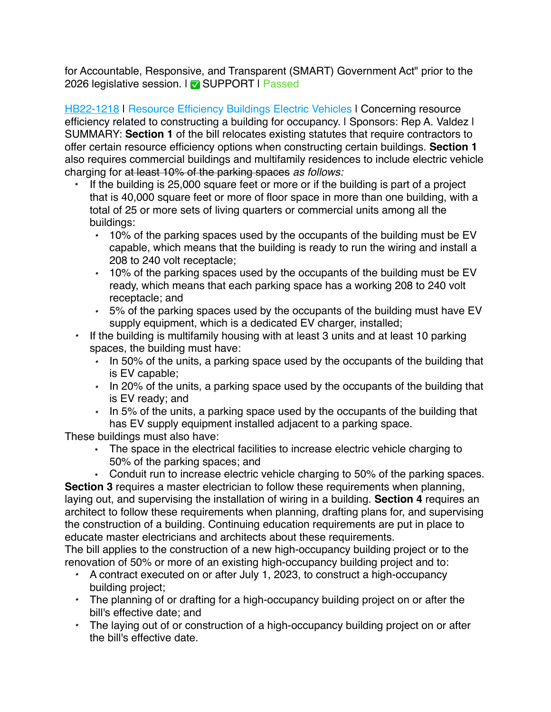for Accountable, Responsive, and Transparent (SMART) Government Act" prior to the 2026 legislative session. | ✅ SUPPORT | Passed

[HB22-1218](http://leg.colorado.gov/bills/HB22-1218) | Resource Efficiency Buildings Electric Vehicles | Concerning resource efficiency related to constructing a building for occupancy. I Sponsors: Rep A. Valdez I SUMMARY: **Section 1** of the bill relocates existing statutes that require contractors to offer certain resource efficiency options when constructing certain buildings. **Section 1** also requires commercial buildings and multifamily residences to include electric vehicle charging for at least 10% of the parking spaces *as follows:*

- If the building is 25,000 square feet or more or if the building is part of a project that is 40,000 square feet or more of floor space in more than one building, with a total of 25 or more sets of living quarters or commercial units among all the buildings:
	- *•* 10% of the parking spaces used by the occupants of the building must be EV capable, which means that the building is ready to run the wiring and install a 208 to 240 volt receptacle;
	- *•* 10% of the parking spaces used by the occupants of the building must be EV ready, which means that each parking space has a working 208 to 240 volt receptacle; and
	- *•* 5% of the parking spaces used by the occupants of the building must have EV supply equipment, which is a dedicated EV charger, installed;
- *•* If the building is multifamily housing with at least 3 units and at least 10 parking spaces, the building must have:
	- *•* In 50% of the units, a parking space used by the occupants of the building that is EV capable;
	- *•* In 20% of the units, a parking space used by the occupants of the building that is EV ready; and
	- *•* In 5% of the units, a parking space used by the occupants of the building that has EV supply equipment installed adjacent to a parking space.

These buildings must also have:

• The space in the electrical facilities to increase electric vehicle charging to 50% of the parking spaces; and

• Conduit run to increase electric vehicle charging to 50% of the parking spaces. **Section 3** requires a master electrician to follow these requirements when planning, laying out, and supervising the installation of wiring in a building. **Section 4** requires an architect to follow these requirements when planning, drafting plans for, and supervising the construction of a building. Continuing education requirements are put in place to educate master electricians and architects about these requirements.

The bill applies to the construction of a new high-occupancy building project or to the renovation of 50% or more of an existing high-occupancy building project and to:

- *•* A contract executed on or after July 1, 2023, to construct a high-occupancy building project;
- *•* The planning of or drafting for a high-occupancy building project on or after the bill's effective date; and
- *•* The laying out of or construction of a high-occupancy building project on or after the bill's effective date.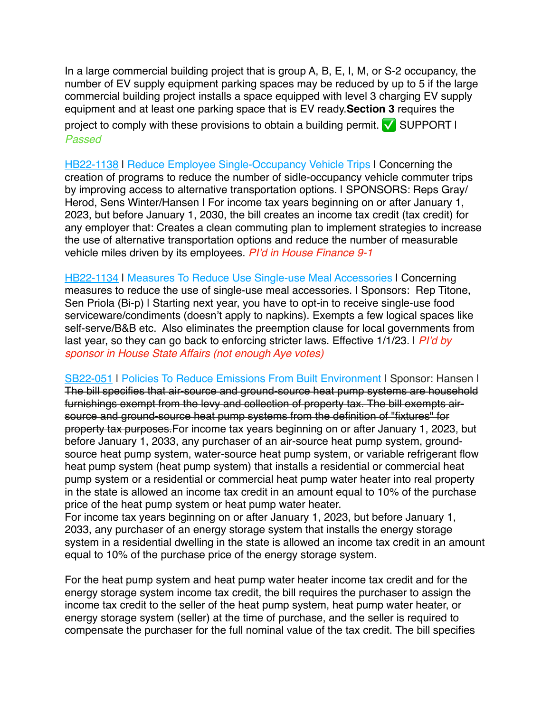In a large commercial building project that is group A, B, E, I, M, or S-2 occupancy, the number of EV supply equipment parking spaces may be reduced by up to 5 if the large commercial building project installs a space equipped with level 3 charging EV supply equipment and at least one parking space that is EV ready.**Section 3** requires the project to comply with these provisions to obtain a building permit.  $\sqrt{\phantom{a}}$  SUPPORT I *Passed*

[HB22-1138](https://leg.colorado.gov/bills/hb22-1138) | Reduce Employee Single-Occupancy Vehicle Trips | Concerning the creation of programs to reduce the number of sidle-occupancy vehicle commuter trips by improving access to alternative transportation options. | SPONSORS: Reps Gray/ Herod, Sens Winter/Hansen I For income tax years beginning on or after January 1, 2023, but before January 1, 2030, the bill creates an income tax credit (tax credit) for any employer that: Creates a clean commuting plan to implement strategies to increase the use of alternative transportation options and reduce the number of measurable vehicle miles driven by its employees. *PI'd in House Finance 9-1*

[HB22-1134](http://leg.colorado.gov/sites/default/files/documents/2022A/bills/2022a_1134_01.pdf) | Measures To Reduce Use Single-use Meal Accessories | Concerning measures to reduce the use of single-use meal accessories. | Sponsors: Rep Titone, Sen Priola (Bi-p) | Starting next year, you have to opt-in to receive single-use food serviceware/condiments (doesn't apply to napkins). Exempts a few logical spaces like self-serve/B&B etc. Also eliminates the preemption clause for local governments from last year, so they can go back to enforcing stricter laws. Effective 1/1/23. | *PI'd by sponsor in House State Affairs (not enough Aye votes)*

[SB22-051](http://leg.colorado.gov/bills/SB22-051) | Policies To Reduce Emissions From Built Environment | Sponsor: Hansen | The bill specifies that air-source and ground-source heat pump systems are household furnishings exempt from the levy and collection of property tax. The bill exempts airsource and ground-source heat pump systems from the definition of "fixtures" for property tax purposes.For income tax years beginning on or after January 1, 2023, but before January 1, 2033, any purchaser of an air-source heat pump system, groundsource heat pump system, water-source heat pump system, or variable refrigerant flow heat pump system (heat pump system) that installs a residential or commercial heat pump system or a residential or commercial heat pump water heater into real property in the state is allowed an income tax credit in an amount equal to 10% of the purchase price of the heat pump system or heat pump water heater.

For income tax years beginning on or after January 1, 2023, but before January 1, 2033, any purchaser of an energy storage system that installs the energy storage system in a residential dwelling in the state is allowed an income tax credit in an amount equal to 10% of the purchase price of the energy storage system.

For the heat pump system and heat pump water heater income tax credit and for the energy storage system income tax credit, the bill requires the purchaser to assign the income tax credit to the seller of the heat pump system, heat pump water heater, or energy storage system (seller) at the time of purchase, and the seller is required to compensate the purchaser for the full nominal value of the tax credit. The bill specifies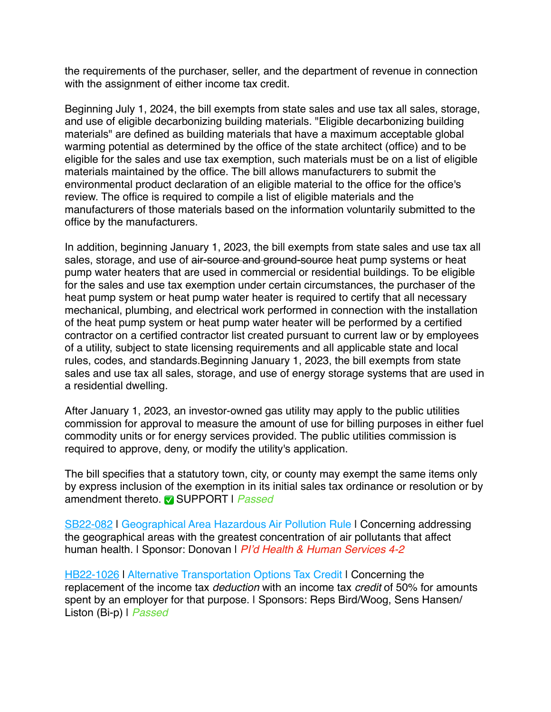the requirements of the purchaser, seller, and the department of revenue in connection with the assignment of either income tax credit.

Beginning July 1, 2024, the bill exempts from state sales and use tax all sales, storage, and use of eligible decarbonizing building materials. "Eligible decarbonizing building materials" are defined as building materials that have a maximum acceptable global warming potential as determined by the office of the state architect (office) and to be eligible for the sales and use tax exemption, such materials must be on a list of eligible materials maintained by the office. The bill allows manufacturers to submit the environmental product declaration of an eligible material to the office for the office's review. The office is required to compile a list of eligible materials and the manufacturers of those materials based on the information voluntarily submitted to the office by the manufacturers.

In addition, beginning January 1, 2023, the bill exempts from state sales and use tax all sales, storage, and use of air-source and ground-source heat pump systems or heat pump water heaters that are used in commercial or residential buildings. To be eligible for the sales and use tax exemption under certain circumstances, the purchaser of the heat pump system or heat pump water heater is required to certify that all necessary mechanical, plumbing, and electrical work performed in connection with the installation of the heat pump system or heat pump water heater will be performed by a certified contractor on a certified contractor list created pursuant to current law or by employees of a utility, subject to state licensing requirements and all applicable state and local rules, codes, and standards.Beginning January 1, 2023, the bill exempts from state sales and use tax all sales, storage, and use of energy storage systems that are used in a residential dwelling.

After January 1, 2023, an investor-owned gas utility may apply to the public utilities commission for approval to measure the amount of use for billing purposes in either fuel commodity units or for energy services provided. The public utilities commission is required to approve, deny, or modify the utility's application.

The bill specifies that a statutory town, city, or county may exempt the same items only by express inclusion of the exemption in its initial sales tax ordinance or resolution or by amendment thereto. ✅ SUPPORT | *Passed*

[SB22-082](http://leg.colorado.gov/bills/SB22-082) | Geographical Area Hazardous Air Pollution Rule | Concerning addressing the geographical areas with the greatest concentration of air pollutants that affect human health. | Sponsor: Donovan | *PI'd Health & Human Services 4-2* 

[HB22-1026](http://leg.colorado.gov/bills/HB22-1026) | Alternative Transportation Options Tax Credit | Concerning the replacement of the income tax *deduction* with an income tax *credit* of 50% for amounts spent by an employer for that purpose. I Sponsors: Reps Bird/Woog, Sens Hansen/ Liston (Bi-p) | *Passed*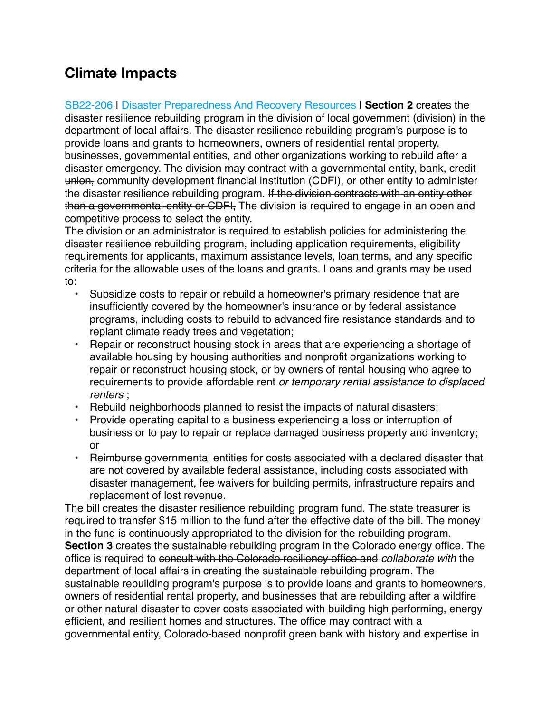## **Climate Impacts**

[SB22-206](https://leg.colorado.gov/bills/sb22-206) | Disaster Preparedness And Recovery Resources | **Section 2** creates the disaster resilience rebuilding program in the division of local government (division) in the department of local affairs. The disaster resilience rebuilding program's purpose is to provide loans and grants to homeowners, owners of residential rental property, businesses, governmental entities, and other organizations working to rebuild after a disaster emergency. The division may contract with a governmental entity, bank, eredit union, community development financial institution (CDFI), or other entity to administer the disaster resilience rebuilding program. If the division contracts with an entity other than a governmental entity or CDFI, The division is required to engage in an open and competitive process to select the entity.

The division or an administrator is required to establish policies for administering the disaster resilience rebuilding program, including application requirements, eligibility requirements for applicants, maximum assistance levels, loan terms, and any specific criteria for the allowable uses of the loans and grants. Loans and grants may be used to:

- Subsidize costs to repair or rebuild a homeowner's primary residence that are insufficiently covered by the homeowner's insurance or by federal assistance programs, including costs to rebuild to advanced fire resistance standards and to replant climate ready trees and vegetation;
- Repair or reconstruct housing stock in areas that are experiencing a shortage of available housing by housing authorities and nonprofit organizations working to repair or reconstruct housing stock, or by owners of rental housing who agree to requirements to provide affordable rent *or temporary rental assistance to displaced renters* ;
- Rebuild neighborhoods planned to resist the impacts of natural disasters;
- Provide operating capital to a business experiencing a loss or interruption of business or to pay to repair or replace damaged business property and inventory; or
- Reimburse governmental entities for costs associated with a declared disaster that are not covered by available federal assistance, including costs associated with disaster management, fee waivers for building permits, infrastructure repairs and replacement of lost revenue.

The bill creates the disaster resilience rebuilding program fund. The state treasurer is required to transfer \$15 million to the fund after the effective date of the bill. The money in the fund is continuously appropriated to the division for the rebuilding program. **Section 3** creates the sustainable rebuilding program in the Colorado energy office. The office is required to consult with the Colorado resiliency office and *collaborate with* the department of local affairs in creating the sustainable rebuilding program. The sustainable rebuilding program's purpose is to provide loans and grants to homeowners, owners of residential rental property, and businesses that are rebuilding after a wildfire or other natural disaster to cover costs associated with building high performing, energy efficient, and resilient homes and structures. The office may contract with a governmental entity, Colorado-based nonprofit green bank with history and expertise in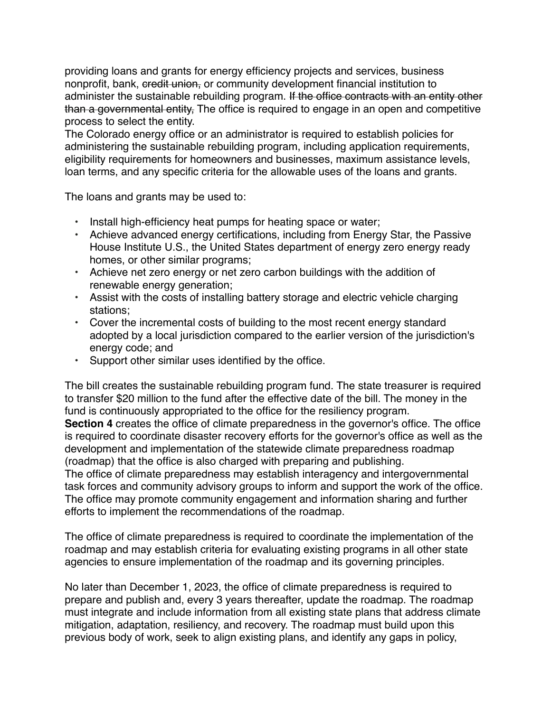providing loans and grants for energy efficiency projects and services, business nonprofit, bank, credit union, or community development financial institution to administer the sustainable rebuilding program. If the office contracts with an entity other than a governmental entity, The office is required to engage in an open and competitive process to select the entity.

The Colorado energy office or an administrator is required to establish policies for administering the sustainable rebuilding program, including application requirements, eligibility requirements for homeowners and businesses, maximum assistance levels, loan terms, and any specific criteria for the allowable uses of the loans and grants.

The loans and grants may be used to:

- Install high-efficiency heat pumps for heating space or water;
- Achieve advanced energy certifications, including from Energy Star, the Passive House Institute U.S., the United States department of energy zero energy ready homes, or other similar programs;
- Achieve net zero energy or net zero carbon buildings with the addition of renewable energy generation;
- Assist with the costs of installing battery storage and electric vehicle charging stations;
- Cover the incremental costs of building to the most recent energy standard adopted by a local jurisdiction compared to the earlier version of the jurisdiction's energy code; and
- Support other similar uses identified by the office.

The bill creates the sustainable rebuilding program fund. The state treasurer is required to transfer \$20 million to the fund after the effective date of the bill. The money in the fund is continuously appropriated to the office for the resiliency program. **Section 4** creates the office of climate preparedness in the governor's office. The office is required to coordinate disaster recovery efforts for the governor's office as well as the

development and implementation of the statewide climate preparedness roadmap (roadmap) that the office is also charged with preparing and publishing.

The office of climate preparedness may establish interagency and intergovernmental task forces and community advisory groups to inform and support the work of the office. The office may promote community engagement and information sharing and further efforts to implement the recommendations of the roadmap.

The office of climate preparedness is required to coordinate the implementation of the roadmap and may establish criteria for evaluating existing programs in all other state agencies to ensure implementation of the roadmap and its governing principles.

No later than December 1, 2023, the office of climate preparedness is required to prepare and publish and, every 3 years thereafter, update the roadmap. The roadmap must integrate and include information from all existing state plans that address climate mitigation, adaptation, resiliency, and recovery. The roadmap must build upon this previous body of work, seek to align existing plans, and identify any gaps in policy,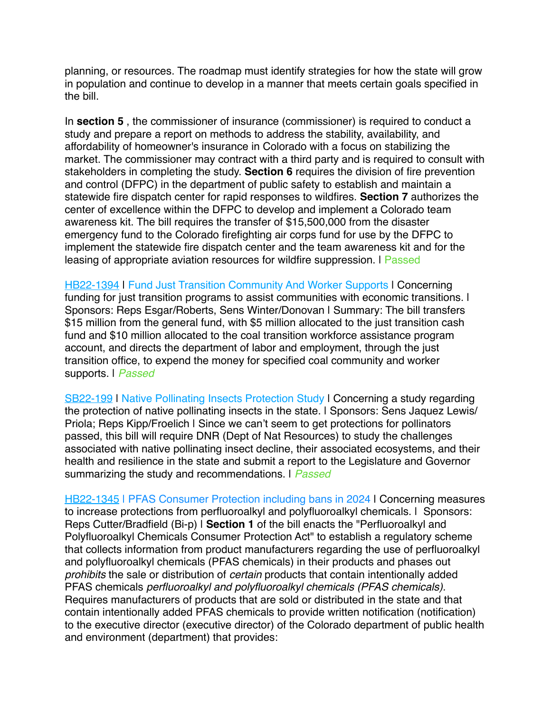planning, or resources. The roadmap must identify strategies for how the state will grow in population and continue to develop in a manner that meets certain goals specified in the bill.

In **section 5**, the commissioner of insurance (commissioner) is required to conduct a study and prepare a report on methods to address the stability, availability, and affordability of homeowner's insurance in Colorado with a focus on stabilizing the market. The commissioner may contract with a third party and is required to consult with stakeholders in completing the study. **Section 6** requires the division of fire prevention and control (DFPC) in the department of public safety to establish and maintain a statewide fire dispatch center for rapid responses to wildfires. **Section 7** authorizes the center of excellence within the DFPC to develop and implement a Colorado team awareness kit. The bill requires the transfer of \$15,500,000 from the disaster emergency fund to the Colorado firefighting air corps fund for use by the DFPC to implement the statewide fire dispatch center and the team awareness kit and for the leasing of appropriate aviation resources for wildfire suppression. I Passed

**[HB22-1394](https://leg.colorado.gov/bills/HB22-1394) | Fund Just Transition Community And Worker Supports | Concerning** funding for just transition programs to assist communities with economic transitions. I Sponsors: Reps Esgar/Roberts, Sens Winter/Donovan | Summary: The bill transfers \$15 million from the general fund, with \$5 million allocated to the just transition cash fund and \$10 million allocated to the coal transition workforce assistance program account, and directs the department of labor and employment, through the just transition office, to expend the money for specified coal community and worker supports. | *Passed*

[SB22-199](https://leg.colorado.gov/bills/SB22-199) | Native Pollinating Insects Protection Study | Concerning a study regarding the protection of native pollinating insects in the state. I Sponsors: Sens Jaquez Lewis/ Priola; Reps Kipp/Froelich | Since we can't seem to get protections for pollinators passed, this bill will require DNR (Dept of Nat Resources) to study the challenges associated with native pollinating insect decline, their associated ecosystems, and their health and resilience in the state and submit a report to the Legislature and Governor summarizing the study and recommendations. | *Passed*

[HB22-1345](https://leg.colorado.gov/bills/hb22-1345) | PFAS Consumer Protection including bans in 2024 | Concerning measures to increase protections from perfluoroalkyl and polyfluoroalkyl chemicals. | Sponsors: Reps Cutter/Bradfield (Bi-p) | **Section 1** of the bill enacts the "Perfluoroalkyl and Polyfluoroalkyl Chemicals Consumer Protection Act" to establish a regulatory scheme that collects information from product manufacturers regarding the use of perfluoroalkyl and polyfluoroalkyl chemicals (PFAS chemicals) in their products and phases out *prohibits* the sale or distribution of *certain* products that contain intentionally added PFAS chemicals *perfluoroalkyl and polyfluoroalkyl chemicals (PFAS chemicals).* Requires manufacturers of products that are sold or distributed in the state and that contain intentionally added PFAS chemicals to provide written notification (notification) to the executive director (executive director) of the Colorado department of public health and environment (department) that provides: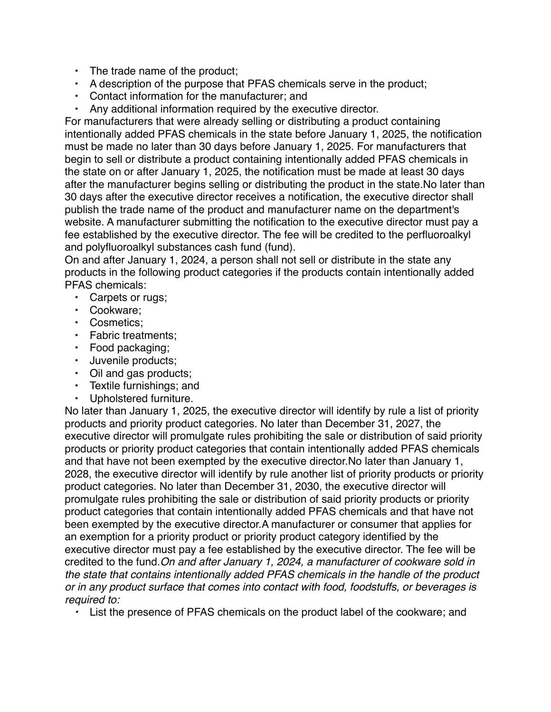- The trade name of the product;
- A description of the purpose that PFAS chemicals serve in the product;
- Contact information for the manufacturer; and
- Any additional information required by the executive director.

For manufacturers that were already selling or distributing a product containing intentionally added PFAS chemicals in the state before January 1, 2025, the notification must be made no later than 30 days before January 1, 2025. For manufacturers that begin to sell or distribute a product containing intentionally added PFAS chemicals in the state on or after January 1, 2025, the notification must be made at least 30 days after the manufacturer begins selling or distributing the product in the state.No later than 30 days after the executive director receives a notification, the executive director shall publish the trade name of the product and manufacturer name on the department's website. A manufacturer submitting the notification to the executive director must pay a fee established by the executive director. The fee will be credited to the perfluoroalkyl and polyfluoroalkyl substances cash fund (fund).

On and after January 1, 2024, a person shall not sell or distribute in the state any products in the following product categories if the products contain intentionally added PFAS chemicals:

- Carpets or rugs;
- Cookware;
- Cosmetics;
- Fabric treatments;
- Food packaging;
- Juvenile products;
- Oil and gas products;
- Textile furnishings; and
- Upholstered furniture.

No later than January 1, 2025, the executive director will identify by rule a list of priority products and priority product categories. No later than December 31, 2027, the executive director will promulgate rules prohibiting the sale or distribution of said priority products or priority product categories that contain intentionally added PFAS chemicals and that have not been exempted by the executive director.No later than January 1, 2028, the executive director will identify by rule another list of priority products or priority product categories. No later than December 31, 2030, the executive director will promulgate rules prohibiting the sale or distribution of said priority products or priority product categories that contain intentionally added PFAS chemicals and that have not been exempted by the executive director.A manufacturer or consumer that applies for an exemption for a priority product or priority product category identified by the executive director must pay a fee established by the executive director. The fee will be credited to the fund.*On and after January 1, 2024, a manufacturer of cookware sold in the state that contains intentionally added PFAS chemicals in the handle of the product or in any product surface that comes into contact with food, foodstuffs, or beverages is required to:*

*•* List the presence of PFAS chemicals on the product label of the cookware; and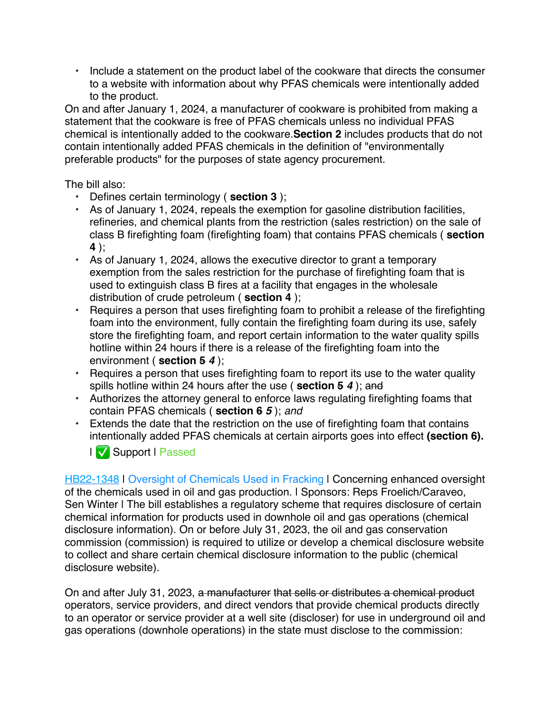*•* Include a statement on the product label of the cookware that directs the consumer to a website with information about why PFAS chemicals were intentionally added to the product.

On and after January 1, 2024, a manufacturer of cookware is prohibited from making a statement that the cookware is free of PFAS chemicals unless no individual PFAS chemical is intentionally added to the cookware.**Section 2** includes products that do not contain intentionally added PFAS chemicals in the definition of "environmentally preferable products" for the purposes of state agency procurement.

The bill also:

- *•* Defines certain terminology ( **section 3** );
- *•* As of January 1, 2024, repeals the exemption for gasoline distribution facilities, refineries, and chemical plants from the restriction (sales restriction) on the sale of class B firefighting foam (firefighting foam) that contains PFAS chemicals ( **section 4** );
- *•* As of January 1, 2024, allows the executive director to grant a temporary exemption from the sales restriction for the purchase of firefighting foam that is used to extinguish class B fires at a facility that engages in the wholesale distribution of crude petroleum ( **section 4** );
- *•* Requires a person that uses firefighting foam to prohibit a release of the firefighting foam into the environment, fully contain the firefighting foam during its use, safely store the firefighting foam, and report certain information to the water quality spills hotline within 24 hours if there is a release of the firefighting foam into the environment ( **section 5** *4* );
- *•* Requires a person that uses firefighting foam to report its use to the water quality spills hotline within 24 hours after the use ( **section 5** *4* ); and
- *•* Authorizes the attorney general to enforce laws regulating firefighting foams that contain PFAS chemicals ( **section 6** *5* ); *and*
- *•* Extends the date that the restriction on the use of firefighting foam that contains intentionally added PFAS chemicals at certain airports goes into effect **(section 6).**



[HB22-1348](https://leg.colorado.gov/bills/HB22-1348) | Oversight of Chemicals Used in Fracking | Concerning enhanced oversight of the chemicals used in oil and gas production. | Sponsors: Reps Froelich/Caraveo, Sen Winter I The bill establishes a regulatory scheme that requires disclosure of certain chemical information for products used in downhole oil and gas operations (chemical disclosure information). On or before July 31, 2023, the oil and gas conservation commission (commission) is required to utilize or develop a chemical disclosure website to collect and share certain chemical disclosure information to the public (chemical disclosure website).

On and after July 31, 2023, a manufacturer that sells or distributes a chemical product operators, service providers, and direct vendors that provide chemical products directly to an operator or service provider at a well site (discloser) for use in underground oil and gas operations (downhole operations) in the state must disclose to the commission: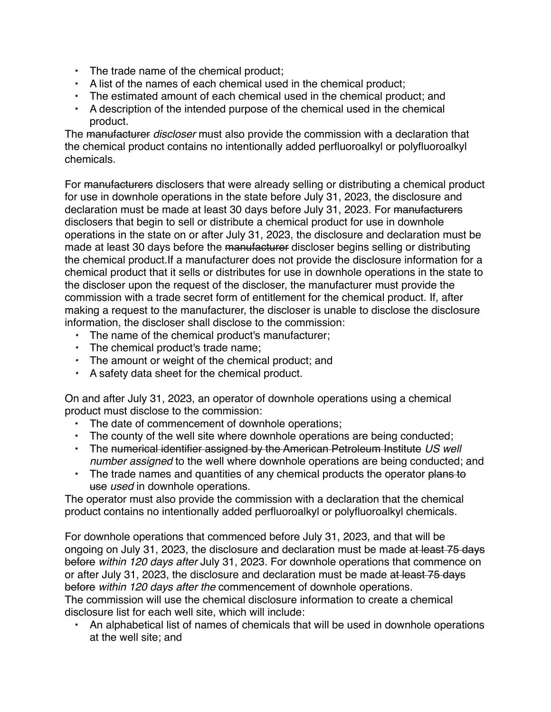- The trade name of the chemical product;
- A list of the names of each chemical used in the chemical product;
- The estimated amount of each chemical used in the chemical product; and
- A description of the intended purpose of the chemical used in the chemical product.

The manufacturer *discloser* must also provide the commission with a declaration that the chemical product contains no intentionally added perfluoroalkyl or polyfluoroalkyl chemicals.

For manufacturers disclosers that were already selling or distributing a chemical product for use in downhole operations in the state before July 31, 2023, the disclosure and declaration must be made at least 30 days before July 31, 2023. For manufacturers disclosers that begin to sell or distribute a chemical product for use in downhole operations in the state on or after July 31, 2023, the disclosure and declaration must be made at least 30 days before the manufacturer discloser begins selling or distributing the chemical product.If a manufacturer does not provide the disclosure information for a chemical product that it sells or distributes for use in downhole operations in the state to the discloser upon the request of the discloser, the manufacturer must provide the commission with a trade secret form of entitlement for the chemical product. If, after making a request to the manufacturer, the discloser is unable to disclose the disclosure information, the discloser shall disclose to the commission:

- *•* The name of the chemical product's manufacturer;
- *•* The chemical product's trade name;
- *•* The amount or weight of the chemical product; and
- *•* A safety data sheet for the chemical product.

On and after July 31, 2023, an operator of downhole operations using a chemical product must disclose to the commission:

- The date of commencement of downhole operations;
- The county of the well site where downhole operations are being conducted;
- The numerical identifier assigned by the American Petroleum Institute *US well number assigned* to the well where downhole operations are being conducted; and
- The trade names and quantities of any chemical products the operator plans to use *used* in downhole operations.

The operator must also provide the commission with a declaration that the chemical product contains no intentionally added perfluoroalkyl or polyfluoroalkyl chemicals.

For downhole operations that commenced before July 31, 2023, and that will be ongoing on July 31, 2023, the disclosure and declaration must be made at least 75 days before *within 120 days after* July 31, 2023. For downhole operations that commence on or after July 31, 2023, the disclosure and declaration must be made at least 75 days before *within 120 days after the* commencement of downhole operations.

The commission will use the chemical disclosure information to create a chemical disclosure list for each well site, which will include:

• An alphabetical list of names of chemicals that will be used in downhole operations at the well site; and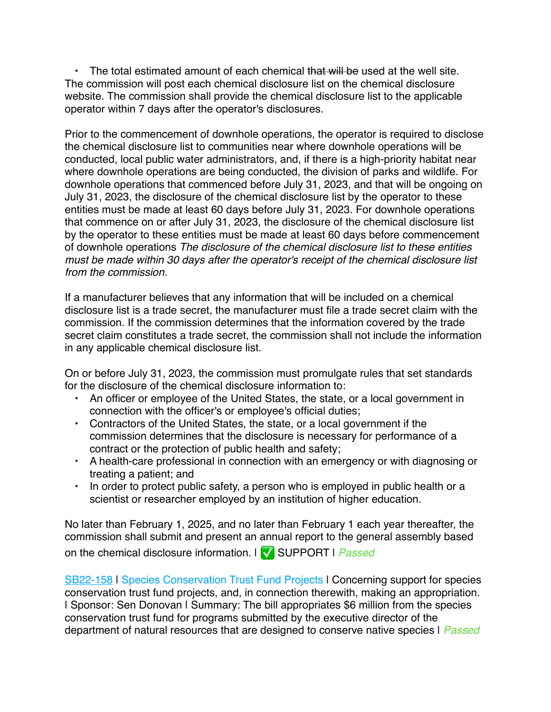• The total estimated amount of each chemical that will be used at the well site. The commission will post each chemical disclosure list on the chemical disclosure website. The commission shall provide the chemical disclosure list to the applicable operator within 7 days after the operator's disclosures.

Prior to the commencement of downhole operations, the operator is required to disclose the chemical disclosure list to communities near where downhole operations will be conducted, local public water administrators, and, if there is a high-priority habitat near where downhole operations are being conducted, the division of parks and wildlife. For downhole operations that commenced before July 31, 2023, and that will be ongoing on July 31, 2023, the disclosure of the chemical disclosure list by the operator to these entities must be made at least 60 days before July 31, 2023. For downhole operations that commence on or after July 31, 2023, the disclosure of the chemical disclosure list by the operator to these entities must be made at least 60 days before commencement of downhole operations *The disclosure of the chemical disclosure list to these entities must be made within 30 days after the operator's receipt of the chemical disclosure list from the commission.*

If a manufacturer believes that any information that will be included on a chemical disclosure list is a trade secret, the manufacturer must file a trade secret claim with the commission. If the commission determines that the information covered by the trade secret claim constitutes a trade secret, the commission shall not include the information in any applicable chemical disclosure list.

On or before July 31, 2023, the commission must promulgate rules that set standards for the disclosure of the chemical disclosure information to:

- An officer or employee of the United States, the state, or a local government in connection with the officer's or employee's official duties;
- Contractors of the United States, the state, or a local government if the commission determines that the disclosure is necessary for performance of a contract or the protection of public health and safety;
- A health-care professional in connection with an emergency or with diagnosing or treating a patient; and
- In order to protect public safety, a person who is employed in public health or a scientist or researcher employed by an institution of higher education.

No later than February 1, 2025, and no later than February 1 each year thereafter, the commission shall submit and present an annual report to the general assembly based on the chemical disclosure information. | ✅ SUPPORT | *Passed*

[SB22-158](https://leg.colorado.gov/bills/sb22-158) | Species Conservation Trust Fund Projects | Concerning support for species conservation trust fund projects, and, in connection therewith, making an appropriation. | Sponsor: Sen Donovan | Summary: The bill appropriates \$6 million from the species conservation trust fund for programs submitted by the executive director of the department of natural resources that are designed to conserve native species | *Passed*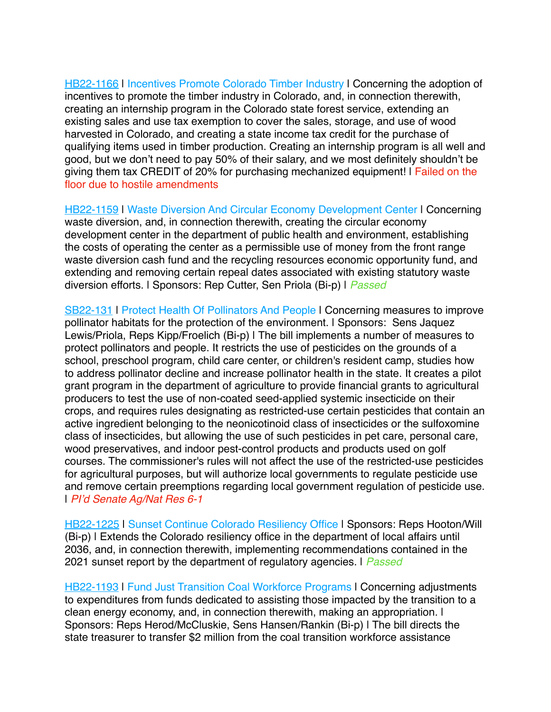[HB22-1166](https://leg.colorado.gov/bills/hb22-1166) I Incentives Promote Colorado Timber Industry I Concerning the adoption of incentives to promote the timber industry in Colorado, and, in connection therewith, creating an internship program in the Colorado state forest service, extending an existing sales and use tax exemption to cover the sales, storage, and use of wood harvested in Colorado, and creating a state income tax credit for the purchase of qualifying items used in timber production. Creating an internship program is all well and good, but we don't need to pay 50% of their salary, and we most definitely shouldn't be giving them tax CREDIT of 20% for purchasing mechanized equipment! | Failed on the floor due to hostile amendments

[HB22-1159](http://leg.colorado.gov/bills/hb22-1159) | Waste Diversion And Circular Economy Development Center | Concerning waste diversion, and, in connection therewith, creating the circular economy development center in the department of public health and environment, establishing the costs of operating the center as a permissible use of money from the front range waste diversion cash fund and the recycling resources economic opportunity fund, and extending and removing certain repeal dates associated with existing statutory waste diversion efforts. | Sponsors: Rep Cutter, Sen Priola (Bi-p) | *Passed*

[SB22-131](http://leg.colorado.gov/bills/SB22-131) | Protect Health Of Pollinators And People | Concerning measures to improve pollinator habitats for the protection of the environment. | Sponsors: Sens Jaquez Lewis/Priola, Reps Kipp/Froelich (Bi-p) | The bill implements a number of measures to protect pollinators and people. It restricts the use of pesticides on the grounds of a school, preschool program, child care center, or children's resident camp, studies how to address pollinator decline and increase pollinator health in the state. It creates a pilot grant program in the department of agriculture to provide financial grants to agricultural producers to test the use of non-coated seed-applied systemic insecticide on their crops, and requires rules designating as restricted-use certain pesticides that contain an active ingredient belonging to the neonicotinoid class of insecticides or the sulfoxomine class of insecticides, but allowing the use of such pesticides in pet care, personal care, wood preservatives, and indoor pest-control products and products used on golf courses. The commissioner's rules will not affect the use of the restricted-use pesticides for agricultural purposes, but will authorize local governments to regulate pesticide use and remove certain preemptions regarding local government regulation of pesticide use. | *PI'd Senate Ag/Nat Res 6-1*

[HB22-1225](http://leg.colorado.gov/bills/HB22-1225) | Sunset Continue Colorado Resiliency Office | Sponsors: Reps Hooton/Will (Bi-p) | Extends the Colorado resiliency office in the department of local affairs until 2036, and, in connection therewith, implementing recommendations contained in the 2021 sunset report by the department of regulatory agencies. | *Passed*

**[HB22-1193](http://leg.colorado.gov/bills/HB22-1193) | Fund Just Transition Coal Workforce Programs | Concerning adjustments** to expenditures from funds dedicated to assisting those impacted by the transition to a clean energy economy, and, in connection therewith, making an appropriation. | Sponsors: Reps Herod/McCluskie, Sens Hansen/Rankin (Bi-p) | The bill directs the state treasurer to transfer \$2 million from the coal transition workforce assistance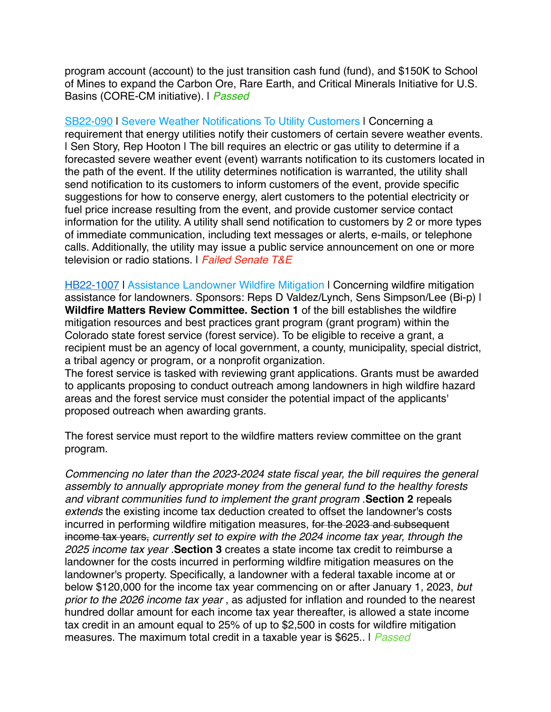program account (account) to the just transition cash fund (fund), and \$150K to School of Mines to expand the Carbon Ore, Rare Earth, and Critical Minerals Initiative for U.S. Basins (CORE-CM initiative). | *Passed*

[SB22-090](http://leg.colorado.gov/bills/SB22-090) | Severe Weather Notifications To Utility Customers | Concerning a requirement that energy utilities notify their customers of certain severe weather events. I Sen Story, Rep Hooton I The bill requires an electric or gas utility to determine if a forecasted severe weather event (event) warrants notification to its customers located in the path of the event. If the utility determines notification is warranted, the utility shall send notification to its customers to inform customers of the event, provide specific suggestions for how to conserve energy, alert customers to the potential electricity or fuel price increase resulting from the event, and provide customer service contact information for the utility. A utility shall send notification to customers by 2 or more types of immediate communication, including text messages or alerts, e-mails, or telephone calls. Additionally, the utility may issue a public service announcement on one or more television or radio stations. | *Failed Senate T&E*

**[HB22-1007](http://leg.colorado.gov/bills/HB22-1007) | Assistance Landowner Wildfire Mitigation | Concerning wildfire mitigation** assistance for landowners. Sponsors: Reps D Valdez/Lynch, Sens Simpson/Lee (Bi-p) | **Wildfire Matters Review Committee. Section 1** of the bill establishes the wildfire mitigation resources and best practices grant program (grant program) within the Colorado state forest service (forest service). To be eligible to receive a grant, a recipient must be an agency of local government, a county, municipality, special district, a tribal agency or program, or a nonprofit organization.

The forest service is tasked with reviewing grant applications. Grants must be awarded to applicants proposing to conduct outreach among landowners in high wildfire hazard areas and the forest service must consider the potential impact of the applicants' proposed outreach when awarding grants.

The forest service must report to the wildfire matters review committee on the grant program.

*Commencing no later than the 2023-2024 state fiscal year, the bill requires the general assembly to annually appropriate money from the general fund to the healthy forests and vibrant communities fund to implement the grant program* .**Section 2** repeals *extends* the existing income tax deduction created to offset the landowner's costs incurred in performing wildfire mitigation measures, for the 2023 and subsequent income tax years, *currently set to expire with the 2024 income tax year, through the 2025 income tax year* .**Section 3** creates a state income tax credit to reimburse a landowner for the costs incurred in performing wildfire mitigation measures on the landowner's property. Specifically, a landowner with a federal taxable income at or below \$120,000 for the income tax year commencing on or after January 1, 2023, *but prior to the 2026 income tax year* , as adjusted for inflation and rounded to the nearest hundred dollar amount for each income tax year thereafter, is allowed a state income tax credit in an amount equal to 25% of up to \$2,500 in costs for wildfire mitigation measures. The maximum total credit in a taxable year is \$625.. | *Passed*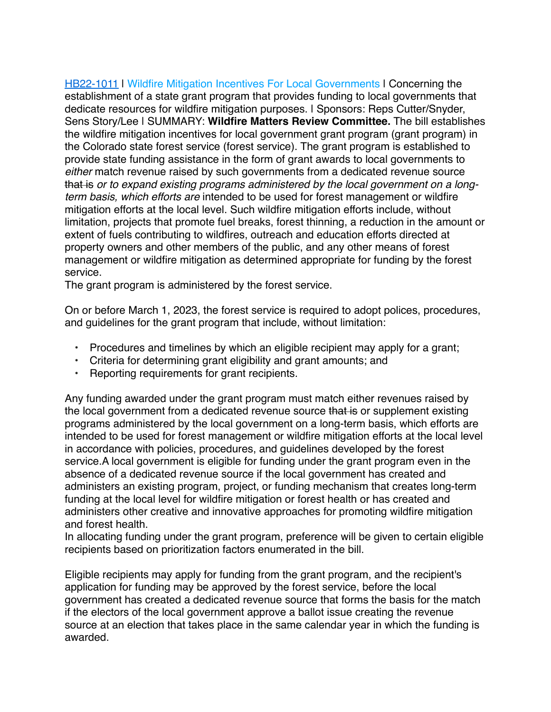**[HB22-1011](http://leg.colorado.gov/bills/HB22-1011) | Wildfire Mitigation Incentives For Local Governments | Concerning the** establishment of a state grant program that provides funding to local governments that dedicate resources for wildfire mitigation purposes. | Sponsors: Reps Cutter/Snyder, Sens Story/Lee | SUMMARY: **Wildfire Matters Review Committee.** The bill establishes the wildfire mitigation incentives for local government grant program (grant program) in the Colorado state forest service (forest service). The grant program is established to provide state funding assistance in the form of grant awards to local governments to *either* match revenue raised by such governments from a dedicated revenue source that is *or to expand existing programs administered by the local government on a longterm basis, which efforts are* intended to be used for forest management or wildfire mitigation efforts at the local level. Such wildfire mitigation efforts include, without limitation, projects that promote fuel breaks, forest thinning, a reduction in the amount or extent of fuels contributing to wildfires, outreach and education efforts directed at property owners and other members of the public, and any other means of forest management or wildfire mitigation as determined appropriate for funding by the forest service.

The grant program is administered by the forest service.

On or before March 1, 2023, the forest service is required to adopt polices, procedures, and guidelines for the grant program that include, without limitation:

- Procedures and timelines by which an eligible recipient may apply for a grant;
- Criteria for determining grant eligibility and grant amounts; and
- Reporting requirements for grant recipients.

Any funding awarded under the grant program must match either revenues raised by the local government from a dedicated revenue source that is or supplement existing programs administered by the local government on a long-term basis, which efforts are intended to be used for forest management or wildfire mitigation efforts at the local level in accordance with policies, procedures, and guidelines developed by the forest service.A local government is eligible for funding under the grant program even in the absence of a dedicated revenue source if the local government has created and administers an existing program, project, or funding mechanism that creates long-term funding at the local level for wildfire mitigation or forest health or has created and administers other creative and innovative approaches for promoting wildfire mitigation and forest health.

In allocating funding under the grant program, preference will be given to certain eligible recipients based on prioritization factors enumerated in the bill.

Eligible recipients may apply for funding from the grant program, and the recipient's application for funding may be approved by the forest service, before the local government has created a dedicated revenue source that forms the basis for the match if the electors of the local government approve a ballot issue creating the revenue source at an election that takes place in the same calendar year in which the funding is awarded.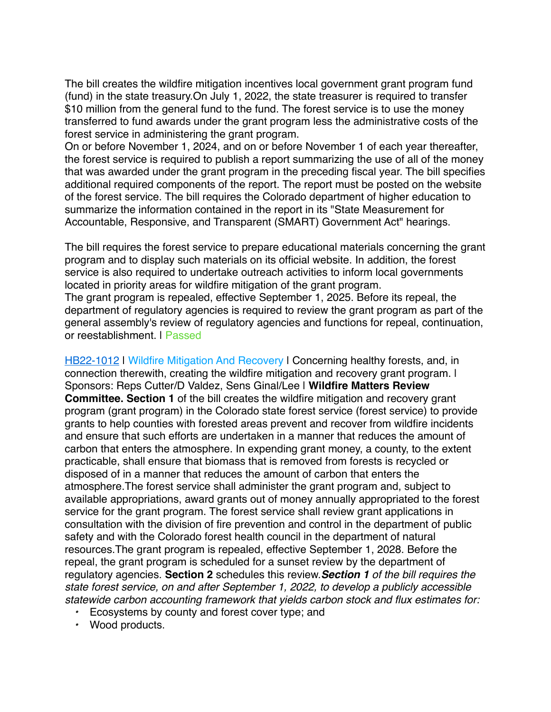The bill creates the wildfire mitigation incentives local government grant program fund (fund) in the state treasury.On July 1, 2022, the state treasurer is required to transfer \$10 million from the general fund to the fund. The forest service is to use the money transferred to fund awards under the grant program less the administrative costs of the forest service in administering the grant program.

On or before November 1, 2024, and on or before November 1 of each year thereafter, the forest service is required to publish a report summarizing the use of all of the money that was awarded under the grant program in the preceding fiscal year. The bill specifies additional required components of the report. The report must be posted on the website of the forest service. The bill requires the Colorado department of higher education to summarize the information contained in the report in its "State Measurement for Accountable, Responsive, and Transparent (SMART) Government Act" hearings.

The bill requires the forest service to prepare educational materials concerning the grant program and to display such materials on its official website. In addition, the forest service is also required to undertake outreach activities to inform local governments located in priority areas for wildfire mitigation of the grant program. The grant program is repealed, effective September 1, 2025. Before its repeal, the department of regulatory agencies is required to review the grant program as part of the general assembly's review of regulatory agencies and functions for repeal, continuation, or reestablishment. | Passed

[HB22-1012](http://leg.colorado.gov/bills/HB22-1012) | Wildfire Mitigation And Recovery | Concerning healthy forests, and, in connection therewith, creating the wildfire mitigation and recovery grant program. I Sponsors: Reps Cutter/D Valdez, Sens Ginal/Lee | **Wildfire Matters Review Committee. Section 1** of the bill creates the wildfire mitigation and recovery grant program (grant program) in the Colorado state forest service (forest service) to provide grants to help counties with forested areas prevent and recover from wildfire incidents and ensure that such efforts are undertaken in a manner that reduces the amount of carbon that enters the atmosphere. In expending grant money, a county, to the extent practicable, shall ensure that biomass that is removed from forests is recycled or disposed of in a manner that reduces the amount of carbon that enters the atmosphere.The forest service shall administer the grant program and, subject to available appropriations, award grants out of money annually appropriated to the forest service for the grant program. The forest service shall review grant applications in consultation with the division of fire prevention and control in the department of public safety and with the Colorado forest health council in the department of natural resources.The grant program is repealed, effective September 1, 2028. Before the repeal, the grant program is scheduled for a sunset review by the department of regulatory agencies. **Section 2** schedules this review.*Section 1 of the bill requires the state forest service, on and after September 1, 2022, to develop a publicly accessible statewide carbon accounting framework that yields carbon stock and flux estimates for:*

- *•* Ecosystems by county and forest cover type; and
- *•* Wood products.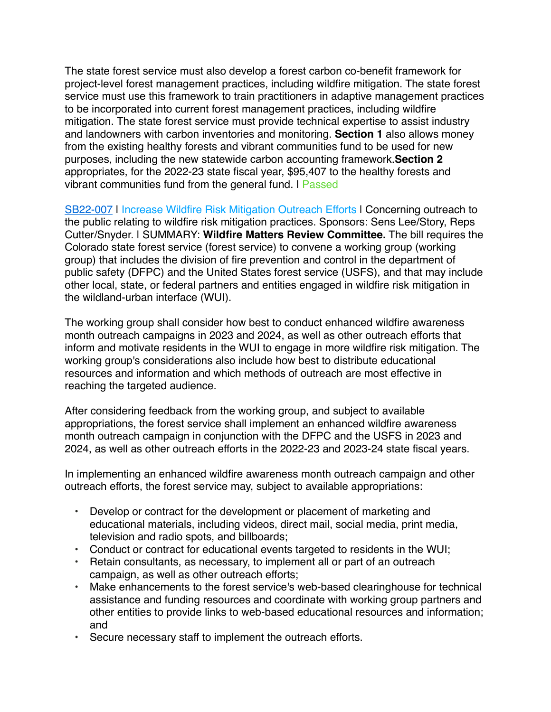The state forest service must also develop a forest carbon co-benefit framework for project-level forest management practices, including wildfire mitigation. The state forest service must use this framework to train practitioners in adaptive management practices to be incorporated into current forest management practices, including wildfire mitigation. The state forest service must provide technical expertise to assist industry and landowners with carbon inventories and monitoring. **Section 1** also allows money from the existing healthy forests and vibrant communities fund to be used for new purposes, including the new statewide carbon accounting framework.**Section 2** appropriates, for the 2022-23 state fiscal year, \$95,407 to the healthy forests and vibrant communities fund from the general fund. | Passed

[SB22-007](http://leg.colorado.gov/bills/SB22-007) | Increase Wildfire Risk Mitigation Outreach Efforts | Concerning outreach to the public relating to wildfire risk mitigation practices. Sponsors: Sens Lee/Story, Reps Cutter/Snyder. | SUMMARY: **Wildfire Matters Review Committee.** The bill requires the Colorado state forest service (forest service) to convene a working group (working group) that includes the division of fire prevention and control in the department of public safety (DFPC) and the United States forest service (USFS), and that may include other local, state, or federal partners and entities engaged in wildfire risk mitigation in the wildland-urban interface (WUI).

The working group shall consider how best to conduct enhanced wildfire awareness month outreach campaigns in 2023 and 2024, as well as other outreach efforts that inform and motivate residents in the WUI to engage in more wildfire risk mitigation. The working group's considerations also include how best to distribute educational resources and information and which methods of outreach are most effective in reaching the targeted audience.

After considering feedback from the working group, and subject to available appropriations, the forest service shall implement an enhanced wildfire awareness month outreach campaign in conjunction with the DFPC and the USFS in 2023 and 2024, as well as other outreach efforts in the 2022-23 and 2023-24 state fiscal years.

In implementing an enhanced wildfire awareness month outreach campaign and other outreach efforts, the forest service may, subject to available appropriations:

- Develop or contract for the development or placement of marketing and educational materials, including videos, direct mail, social media, print media, television and radio spots, and billboards;
- Conduct or contract for educational events targeted to residents in the WUI;
- Retain consultants, as necessary, to implement all or part of an outreach campaign, as well as other outreach efforts;
- Make enhancements to the forest service's web-based clearinghouse for technical assistance and funding resources and coordinate with working group partners and other entities to provide links to web-based educational resources and information; and
- Secure necessary staff to implement the outreach efforts.